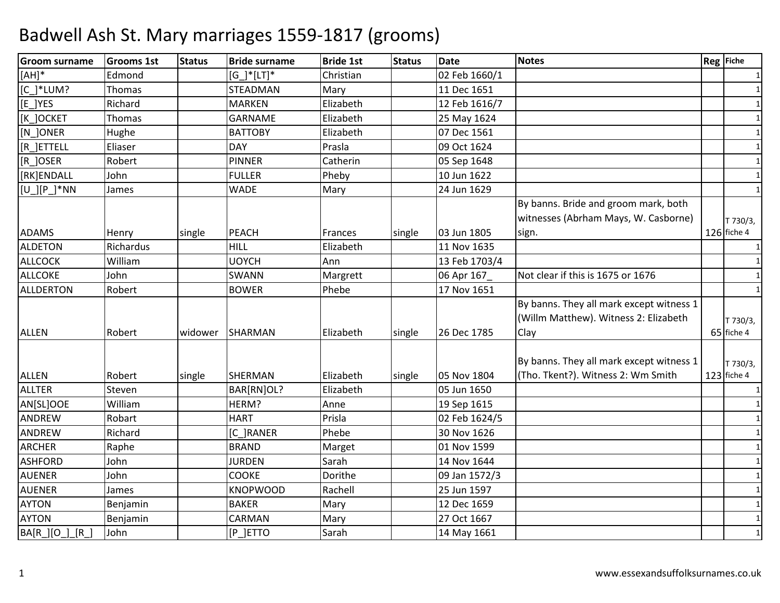| <b>Groom surname</b> | <b>Grooms 1st</b> | <b>Status</b> | <b>Bride surname</b> | <b>Bride 1st</b> | <b>Status</b> | <b>Date</b>   | <b>Notes</b>                                                                              | <b>Reg</b> Fiche          |
|----------------------|-------------------|---------------|----------------------|------------------|---------------|---------------|-------------------------------------------------------------------------------------------|---------------------------|
| $[AH]*$              | Edmond            |               | $[G]^{*}[LT]^{*}$    | Christian        |               | 02 Feb 1660/1 |                                                                                           | 1                         |
| $[C_]^*LUM?$         | Thomas            |               | <b>STEADMAN</b>      | Mary             |               | 11 Dec 1651   |                                                                                           | $\mathbf{1}$              |
| [E_]YES              | Richard           |               | <b>MARKEN</b>        | Elizabeth        |               | 12 Feb 1616/7 |                                                                                           | $\mathbf{1}$              |
| [K ]OCKET            | Thomas            |               | <b>GARNAME</b>       | Elizabeth        |               | 25 May 1624   |                                                                                           | 1                         |
| [N_]ONER             | Hughe             |               | <b>BATTOBY</b>       | Elizabeth        |               | 07 Dec 1561   |                                                                                           | 1                         |
| [R_]ETTELL           | Eliaser           |               | DAY                  | Prasla           |               | 09 Oct 1624   |                                                                                           | 1                         |
| [R_]OSER             | Robert            |               | <b>PINNER</b>        | Catherin         |               | 05 Sep 1648   |                                                                                           | 1                         |
| [RK]ENDALL           | John              |               | <b>FULLER</b>        | Pheby            |               | 10 Jun 1622   |                                                                                           | $\mathbf{1}$              |
| $[U$ ][P_]*NN        | James             |               | <b>WADE</b>          | Mary             |               | 24 Jun 1629   |                                                                                           | $\mathbf{1}$              |
|                      |                   |               |                      |                  |               |               | By banns. Bride and groom mark, both                                                      |                           |
|                      |                   |               |                      |                  |               |               | witnesses (Abrham Mays, W. Casborne)                                                      | T 730/3,                  |
| <b>ADAMS</b>         | Henry             | single        | <b>PEACH</b>         | Frances          | single        | 03 Jun 1805   | sign.                                                                                     | $126$ fiche 4             |
| <b>ALDETON</b>       | Richardus         |               | <b>HILL</b>          | Elizabeth        |               | 11 Nov 1635   |                                                                                           | $\mathbf{1}$              |
| <b>ALLCOCK</b>       | William           |               | <b>UOYCH</b>         | Ann              |               | 13 Feb 1703/4 |                                                                                           | 1                         |
| <b>ALLCOKE</b>       | John              |               | SWANN                | Margrett         |               | 06 Apr 167    | Not clear if this is 1675 or 1676                                                         |                           |
| ALLDERTON            | Robert            |               | <b>BOWER</b>         | Phebe            |               | 17 Nov 1651   |                                                                                           |                           |
| <b>ALLEN</b>         | Robert            | widower       | SHARMAN              | Elizabeth        | single        | 26 Dec 1785   | By banns. They all mark except witness 1<br>(Willm Matthew). Witness 2: Elizabeth<br>Clay | T 730/3,<br>65 fiche 4    |
| <b>ALLEN</b>         | Robert            | single        | SHERMAN              | Elizabeth        | single        | 05 Nov 1804   | By banns. They all mark except witness 1<br>(Tho. Tkent?). Witness 2: Wm Smith            | T 730/3,<br>$123$ fiche 4 |
| <b>ALLTER</b>        | Steven            |               | BAR[RN]OL?           | Elizabeth        |               | 05 Jun 1650   |                                                                                           | $\mathbf{1}$              |
| AN[SL]OOE            | William           |               | HERM?                | Anne             |               | 19 Sep 1615   |                                                                                           | 1                         |
| ANDREW               | Robart            |               | <b>HART</b>          | Prisla           |               | 02 Feb 1624/5 |                                                                                           | 1                         |
| ANDREW               | Richard           |               | [C_]RANER            | Phebe            |               | 30 Nov 1626   |                                                                                           | 1                         |
| <b>ARCHER</b>        | Raphe             |               | <b>BRAND</b>         | Marget           |               | 01 Nov 1599   |                                                                                           | 1                         |
| <b>ASHFORD</b>       | John              |               | <b>JURDEN</b>        | Sarah            |               | 14 Nov 1644   |                                                                                           | $\mathbf{1}$              |
| <b>AUENER</b>        | John              |               | <b>COOKE</b>         | Dorithe          |               | 09 Jan 1572/3 |                                                                                           | 1                         |
| <b>AUENER</b>        | James             |               | <b>KNOPWOOD</b>      | Rachell          |               | 25 Jun 1597   |                                                                                           | 1                         |
| <b>AYTON</b>         | Benjamin          |               | <b>BAKER</b>         | Mary             |               | 12 Dec 1659   |                                                                                           | $\mathbf{1}$              |
| <b>AYTON</b>         | Benjamin          |               | CARMAN               | Mary             |               | 27 Oct 1667   |                                                                                           | $\mathbf{1}$              |
| BA[R_][O_]_[R_]      | John              |               | [P_]ETTO             | Sarah            |               | 14 May 1661   |                                                                                           | 1                         |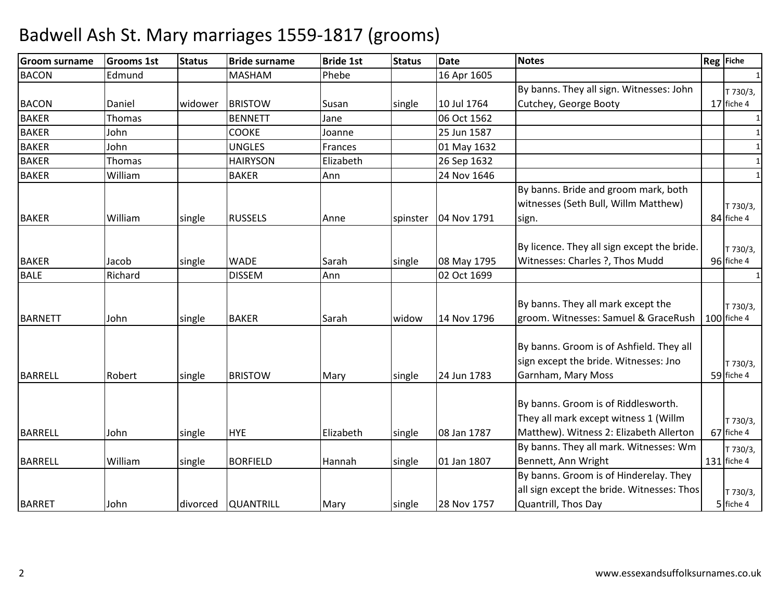| <b>Groom surname</b> | <b>Grooms 1st</b> | <b>Status</b> | <b>Bride surname</b> | <b>Bride 1st</b> | <b>Status</b> | <b>Date</b> | <b>Notes</b>                                                                                                            | Reg Fiche               |
|----------------------|-------------------|---------------|----------------------|------------------|---------------|-------------|-------------------------------------------------------------------------------------------------------------------------|-------------------------|
| <b>BACON</b>         | Edmund            |               | <b>MASHAM</b>        | Phebe            |               | 16 Apr 1605 |                                                                                                                         |                         |
|                      |                   |               |                      |                  |               |             | By banns. They all sign. Witnesses: John                                                                                | T 730/3,                |
| <b>BACON</b>         | Daniel            | widower       | <b>BRISTOW</b>       | Susan            | single        | 10 Jul 1764 | Cutchey, George Booty                                                                                                   | 17 fiche 4              |
| <b>BAKER</b>         | Thomas            |               | <b>BENNETT</b>       | Jane             |               | 06 Oct 1562 |                                                                                                                         | 1                       |
| <b>BAKER</b>         | John              |               | <b>COOKE</b>         | Joanne           |               | 25 Jun 1587 |                                                                                                                         | 1                       |
| <b>BAKER</b>         | John              |               | <b>UNGLES</b>        | Frances          |               | 01 May 1632 |                                                                                                                         |                         |
| <b>BAKER</b>         | Thomas            |               | <b>HAIRYSON</b>      | Elizabeth        |               | 26 Sep 1632 |                                                                                                                         | $\mathbf{1}$            |
| <b>BAKER</b>         | William           |               | <b>BAKER</b>         | Ann              |               | 24 Nov 1646 |                                                                                                                         | $\mathbf{1}$            |
| <b>BAKER</b>         | William           | single        | <b>RUSSELS</b>       | Anne             | spinster      | 04 Nov 1791 | By banns. Bride and groom mark, both<br>witnesses (Seth Bull, Willm Matthew)<br>sign.                                   | T 730/3,<br>84 fiche 4  |
| <b>BAKER</b>         | Jacob             | single        | <b>WADE</b>          | Sarah            | single        | 08 May 1795 | By licence. They all sign except the bride.<br>Witnesses: Charles ?, Thos Mudd                                          | T 730/3,<br>96 fiche 4  |
| <b>BALE</b>          | Richard           |               | <b>DISSEM</b>        | Ann              |               | 02 Oct 1699 |                                                                                                                         |                         |
| <b>BARNETT</b>       | John              | single        | <b>BAKER</b>         | Sarah            | widow         | 14 Nov 1796 | By banns. They all mark except the<br>groom. Witnesses: Samuel & GraceRush                                              | T 730/3,<br>100 fiche 4 |
| <b>BARRELL</b>       | Robert            | single        | <b>BRISTOW</b>       | Mary             | single        | 24 Jun 1783 | By banns. Groom is of Ashfield. They all<br>sign except the bride. Witnesses: Jno<br>Garnham, Mary Moss                 | T 730/3,<br>59 fiche 4  |
| <b>BARRELL</b>       | John              | single        | <b>HYE</b>           | Elizabeth        | single        | 08 Jan 1787 | By banns. Groom is of Riddlesworth.<br>They all mark except witness 1 (Willm<br>Matthew). Witness 2: Elizabeth Allerton | T 730/3,<br>67 fiche 4  |
|                      |                   |               |                      |                  |               |             | By banns. They all mark. Witnesses: Wm                                                                                  | T 730/3,                |
| <b>BARRELL</b>       | William           | single        | <b>BORFIELD</b>      | Hannah           | single        | 01 Jan 1807 | Bennett, Ann Wright                                                                                                     | 131 fiche 4             |
| <b>BARRET</b>        | John              | divorced      | <b>QUANTRILL</b>     | Mary             | single        | 28 Nov 1757 | By banns. Groom is of Hinderelay. They<br>all sign except the bride. Witnesses: Thos<br>Quantrill, Thos Day             | T 730/3,<br>5 fiche 4   |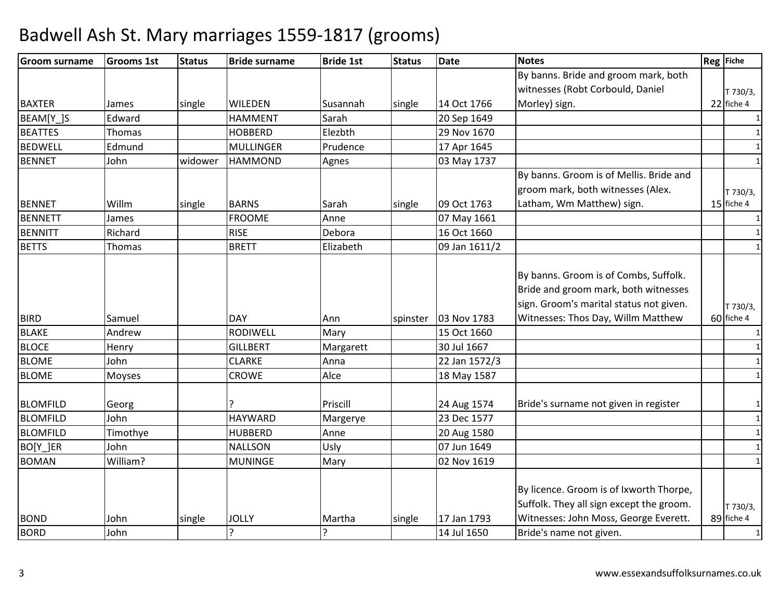| By banns. Bride and groom mark, both    |                                                                                                                                                         |              |
|-----------------------------------------|---------------------------------------------------------------------------------------------------------------------------------------------------------|--------------|
|                                         |                                                                                                                                                         |              |
| witnesses (Robt Corbould, Daniel        |                                                                                                                                                         | T 730/3,     |
| Morley) sign.                           |                                                                                                                                                         | 22 fiche 4   |
|                                         |                                                                                                                                                         | $\mathbf{1}$ |
|                                         |                                                                                                                                                         | $\mathbf{1}$ |
|                                         |                                                                                                                                                         | 1            |
|                                         |                                                                                                                                                         | $\mathbf{1}$ |
| By banns. Groom is of Mellis. Bride and |                                                                                                                                                         |              |
| groom mark, both witnesses (Alex.       |                                                                                                                                                         | T 730/3,     |
| Latham, Wm Matthew) sign.               |                                                                                                                                                         | 15 fiche 4   |
|                                         |                                                                                                                                                         | 1            |
|                                         |                                                                                                                                                         | 1            |
|                                         |                                                                                                                                                         | $\mathbf{1}$ |
|                                         |                                                                                                                                                         |              |
| By banns. Groom is of Combs, Suffolk.   |                                                                                                                                                         |              |
| Bride and groom mark, both witnesses    |                                                                                                                                                         |              |
| sign. Groom's marital status not given. |                                                                                                                                                         | T 730/3,     |
| Witnesses: Thos Day, Willm Matthew      |                                                                                                                                                         | 60 fiche 4   |
|                                         |                                                                                                                                                         | 1            |
|                                         |                                                                                                                                                         | $\mathbf{1}$ |
|                                         |                                                                                                                                                         | $\mathbf{1}$ |
|                                         |                                                                                                                                                         | 1            |
|                                         |                                                                                                                                                         |              |
| Bride's surname not given in register   |                                                                                                                                                         | $\mathbf{1}$ |
|                                         |                                                                                                                                                         | $\mathbf{1}$ |
|                                         |                                                                                                                                                         | $\mathbf{1}$ |
|                                         |                                                                                                                                                         | $\mathbf{1}$ |
|                                         |                                                                                                                                                         | $\mathbf{1}$ |
|                                         |                                                                                                                                                         |              |
|                                         |                                                                                                                                                         |              |
|                                         |                                                                                                                                                         | T 730/3,     |
|                                         |                                                                                                                                                         | 89 fiche 4   |
|                                         |                                                                                                                                                         | $\mathbf{1}$ |
|                                         | By licence. Groom is of Ixworth Thorpe,<br>Suffolk. They all sign except the groom.<br>Witnesses: John Moss, George Everett.<br>Bride's name not given. |              |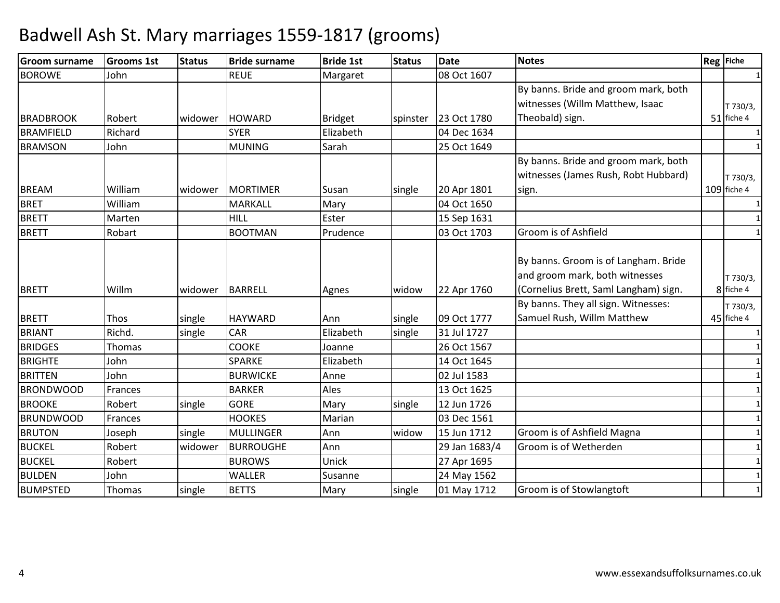| <b>Groom surname</b> | <b>Grooms 1st</b> | <b>Status</b> | <b>Bride surname</b> | <b>Bride 1st</b> | <b>Status</b> | <b>Date</b>   | <b>Notes</b>                                                                                                    | Reg Fiche             |
|----------------------|-------------------|---------------|----------------------|------------------|---------------|---------------|-----------------------------------------------------------------------------------------------------------------|-----------------------|
| <b>BOROWE</b>        | John              |               | <b>REUE</b>          | Margaret         |               | 08 Oct 1607   |                                                                                                                 |                       |
|                      |                   |               |                      |                  |               |               | By banns. Bride and groom mark, both                                                                            |                       |
|                      |                   |               |                      |                  |               |               | witnesses (Willm Matthew, Isaac                                                                                 | T 730/3,              |
| <b>BRADBROOK</b>     | Robert            | widower       | <b>HOWARD</b>        | <b>Bridget</b>   | spinster      | 23 Oct 1780   | Theobald) sign.                                                                                                 | 51 fiche 4            |
| <b>BRAMFIELD</b>     | Richard           |               | <b>SYER</b>          | Elizabeth        |               | 04 Dec 1634   |                                                                                                                 |                       |
| <b>BRAMSON</b>       | John              |               | <b>MUNING</b>        | Sarah            |               | 25 Oct 1649   |                                                                                                                 | $\mathbf{1}$          |
|                      |                   |               |                      |                  |               |               | By banns. Bride and groom mark, both                                                                            |                       |
|                      |                   |               |                      |                  |               |               | witnesses (James Rush, Robt Hubbard)                                                                            | T 730/3,              |
| <b>BREAM</b>         | William           | widower       | <b>MORTIMER</b>      | Susan            | single        | 20 Apr 1801   | sign.                                                                                                           | 109 fiche 4           |
| <b>BRET</b>          | William           |               | <b>MARKALL</b>       | Mary             |               | 04 Oct 1650   |                                                                                                                 |                       |
| <b>BRETT</b>         | Marten            |               | <b>HILL</b>          | Ester            |               | 15 Sep 1631   |                                                                                                                 |                       |
| <b>BRETT</b>         | Robart            |               | <b>BOOTMAN</b>       | Prudence         |               | 03 Oct 1703   | Groom is of Ashfield                                                                                            |                       |
| <b>BRETT</b>         | Willm             | widower       | <b>BARRELL</b>       | Agnes            | widow         | 22 Apr 1760   | By banns. Groom is of Langham. Bride<br>and groom mark, both witnesses<br>(Cornelius Brett, Saml Langham) sign. | T 730/3,<br>8 fiche 4 |
|                      |                   |               |                      |                  |               |               | By banns. They all sign. Witnesses:                                                                             | T 730/3,              |
| <b>BRETT</b>         | <b>Thos</b>       | single        | <b>HAYWARD</b>       | Ann              | single        | 09 Oct 1777   | Samuel Rush, Willm Matthew                                                                                      | 45 fiche 4            |
| <b>BRIANT</b>        | Richd.            | single        | CAR                  | Elizabeth        | single        | 31 Jul 1727   |                                                                                                                 |                       |
| <b>BRIDGES</b>       | Thomas            |               | <b>COOKE</b>         | Joanne           |               | 26 Oct 1567   |                                                                                                                 |                       |
| <b>BRIGHTE</b>       | John              |               | SPARKE               | Elizabeth        |               | 14 Oct 1645   |                                                                                                                 | $\mathbf{1}$          |
| <b>BRITTEN</b>       | John              |               | <b>BURWICKE</b>      | Anne             |               | 02 Jul 1583   |                                                                                                                 |                       |
| <b>BRONDWOOD</b>     | Frances           |               | <b>BARKER</b>        | Ales             |               | 13 Oct 1625   |                                                                                                                 |                       |
| <b>BROOKE</b>        | Robert            | single        | <b>GORE</b>          | Mary             | single        | 12 Jun 1726   |                                                                                                                 |                       |
| <b>BRUNDWOOD</b>     | <b>Frances</b>    |               | <b>HOOKES</b>        | Marian           |               | 03 Dec 1561   |                                                                                                                 |                       |
| <b>BRUTON</b>        | Joseph            | single        | <b>MULLINGER</b>     | Ann              | widow         | 15 Jun 1712   | Groom is of Ashfield Magna                                                                                      |                       |
| <b>BUCKEL</b>        | Robert            | widower       | <b>BURROUGHE</b>     | Ann              |               | 29 Jan 1683/4 | Groom is of Wetherden                                                                                           |                       |
| <b>BUCKEL</b>        | Robert            |               | <b>BUROWS</b>        | Unick            |               | 27 Apr 1695   |                                                                                                                 |                       |
| <b>BULDEN</b>        | John              |               | <b>WALLER</b>        | Susanne          |               | 24 May 1562   |                                                                                                                 |                       |
| <b>BUMPSTED</b>      | Thomas            | single        | <b>BETTS</b>         | Mary             | single        | 01 May 1712   | Groom is of Stowlangtoft                                                                                        |                       |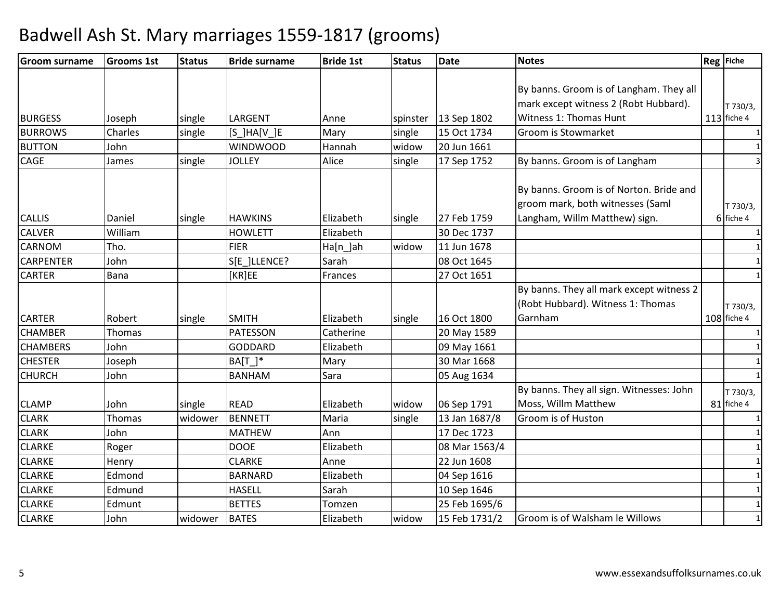| <b>Groom surname</b> | <b>Grooms 1st</b> | <b>Status</b> | <b>Bride surname</b> | <b>Bride 1st</b> | <b>Status</b> | <b>Date</b>   | <b>Notes</b>                                                                  | <b>Reg</b> Fiche |
|----------------------|-------------------|---------------|----------------------|------------------|---------------|---------------|-------------------------------------------------------------------------------|------------------|
|                      |                   |               |                      |                  |               |               |                                                                               |                  |
|                      |                   |               |                      |                  |               |               | By banns. Groom is of Langham. They all                                       |                  |
|                      |                   |               |                      |                  |               |               | mark except witness 2 (Robt Hubbard).                                         | T 730/3,         |
| <b>BURGESS</b>       | Joseph            | single        | LARGENT              | Anne             | spinster      | 13 Sep 1802   | Witness 1: Thomas Hunt                                                        | $113$ fiche 4    |
| <b>BURROWS</b>       | Charles           | single        | $[S_$ ]HA[V_]E       | Mary             | single        | 15 Oct 1734   | Groom is Stowmarket                                                           | $\mathbf{1}$     |
| <b>BUTTON</b>        | John              |               | <b>WINDWOOD</b>      | Hannah           | widow         | 20 Jun 1661   |                                                                               |                  |
| <b>CAGE</b>          | James             | single        | <b>JOLLEY</b>        | Alice            | single        | 17 Sep 1752   | By banns. Groom is of Langham                                                 |                  |
|                      |                   |               |                      |                  |               |               | By banns. Groom is of Norton. Bride and                                       |                  |
|                      |                   |               |                      |                  |               |               | groom mark, both witnesses (Saml                                              | T 730/3,         |
| <b>CALLIS</b>        | Daniel            | single        | <b>HAWKINS</b>       | Elizabeth        | single        | 27 Feb 1759   | Langham, Willm Matthew) sign.                                                 | 6 fiche 4        |
| <b>CALVER</b>        | William           |               | <b>HOWLETT</b>       | Elizabeth        |               | 30 Dec 1737   |                                                                               | 1                |
| <b>CARNOM</b>        | Tho.              |               | <b>FIER</b>          | Ha[n_]ah         | widow         | 11 Jun 1678   |                                                                               | 1                |
| <b>CARPENTER</b>     | John              |               | S[E_]LLENCE?         | Sarah            |               | 08 Oct 1645   |                                                                               | $\mathbf{1}$     |
| <b>CARTER</b>        | Bana              |               | [KR]EE               | Frances          |               | 27 Oct 1651   |                                                                               | $\mathbf{1}$     |
|                      |                   |               |                      |                  |               |               | By banns. They all mark except witness 2<br>(Robt Hubbard). Witness 1: Thomas | T 730/3,         |
| <b>CARTER</b>        | Robert            | single        | <b>SMITH</b>         | Elizabeth        | single        | 16 Oct 1800   | Garnham                                                                       | $108$ fiche 4    |
| <b>CHAMBER</b>       | Thomas            |               | PATESSON             | Catherine        |               | 20 May 1589   |                                                                               | 1                |
| <b>CHAMBERS</b>      | John              |               | <b>GODDARD</b>       | Elizabeth        |               | 09 May 1661   |                                                                               | 1                |
| <b>CHESTER</b>       | Joseph            |               | $BA[T]$ *            | Mary             |               | 30 Mar 1668   |                                                                               | 1                |
| <b>CHURCH</b>        | John              |               | <b>BANHAM</b>        | Sara             |               | 05 Aug 1634   |                                                                               | $\mathbf{1}$     |
|                      |                   |               |                      |                  |               |               | By banns. They all sign. Witnesses: John                                      | T 730/3,         |
| <b>CLAMP</b>         | John              | single        | <b>READ</b>          | Elizabeth        | widow         | 06 Sep 1791   | Moss, Willm Matthew                                                           | 81 fiche 4       |
| <b>CLARK</b>         | Thomas            | widower       | <b>BENNETT</b>       | Maria            | single        | 13 Jan 1687/8 | Groom is of Huston                                                            | $\mathbf{1}$     |
| <b>CLARK</b>         | John              |               | <b>MATHEW</b>        | Ann              |               | 17 Dec 1723   |                                                                               | $\mathbf{1}$     |
| <b>CLARKE</b>        | Roger             |               | <b>DOOE</b>          | Elizabeth        |               | 08 Mar 1563/4 |                                                                               | 1                |
| <b>CLARKE</b>        | Henry             |               | <b>CLARKE</b>        | Anne             |               | 22 Jun 1608   |                                                                               | $\mathbf{1}$     |
| <b>CLARKE</b>        | Edmond            |               | <b>BARNARD</b>       | Elizabeth        |               | 04 Sep 1616   |                                                                               | $\mathbf{1}$     |
| <b>CLARKE</b>        | Edmund            |               | <b>HASELL</b>        | Sarah            |               | 10 Sep 1646   |                                                                               | $\mathbf{1}$     |
| <b>CLARKE</b>        | Edmunt            |               | <b>BETTES</b>        | Tomzen           |               | 25 Feb 1695/6 |                                                                               | $\mathbf{1}$     |
| <b>CLARKE</b>        | John              | widower       | <b>BATES</b>         | Elizabeth        | widow         | 15 Feb 1731/2 | Groom is of Walsham le Willows                                                | $\mathbf{1}$     |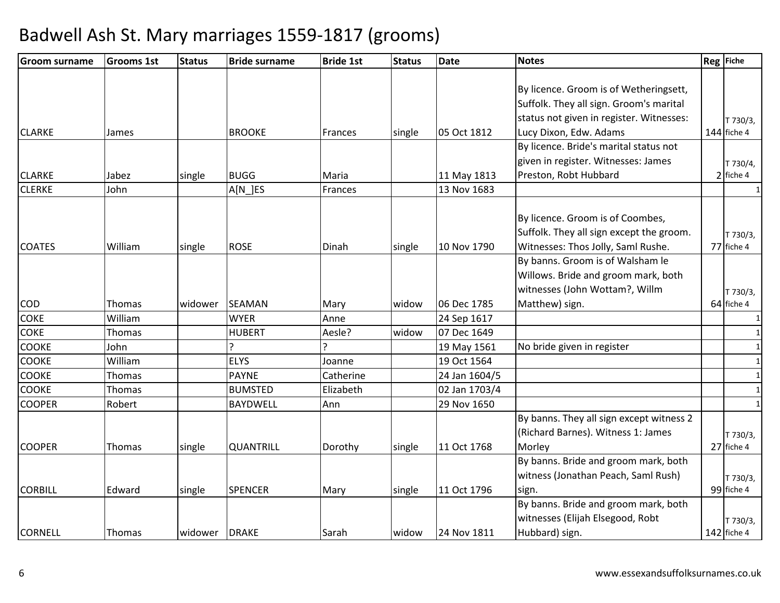| Groom surname  | <b>Grooms 1st</b> | <b>Status</b> | <b>Bride surname</b> | <b>Bride 1st</b> | <b>Status</b> | <b>Date</b>   | <b>Notes</b>                             | Reg Fiche    |
|----------------|-------------------|---------------|----------------------|------------------|---------------|---------------|------------------------------------------|--------------|
|                |                   |               |                      |                  |               |               |                                          |              |
|                |                   |               |                      |                  |               |               | By licence. Groom is of Wetheringsett,   |              |
|                |                   |               |                      |                  |               |               | Suffolk. They all sign. Groom's marital  |              |
|                |                   |               |                      |                  |               |               | status not given in register. Witnesses: | T 730/3,     |
| <b>CLARKE</b>  | James             |               | <b>BROOKE</b>        | Frances          | single        | 05 Oct 1812   | Lucy Dixon, Edw. Adams                   | 144 fiche 4  |
|                |                   |               |                      |                  |               |               | By licence. Bride's marital status not   |              |
|                |                   |               |                      |                  |               |               | given in register. Witnesses: James      | T 730/4,     |
| <b>CLARKE</b>  | Jabez             | single        | <b>BUGG</b>          | Maria            |               | 11 May 1813   | Preston, Robt Hubbard                    | $2$ fiche 4  |
| <b>CLERKE</b>  | John              |               | $A[N]$ ES            | Frances          |               | 13 Nov 1683   |                                          |              |
|                |                   |               |                      |                  |               |               |                                          |              |
|                |                   |               |                      |                  |               |               | By licence. Groom is of Coombes,         |              |
|                |                   |               |                      |                  |               |               | Suffolk. They all sign except the groom. | T 730/3,     |
| <b>COATES</b>  | William           | single        | <b>ROSE</b>          | Dinah            | single        | 10 Nov 1790   | Witnesses: Thos Jolly, Saml Rushe.       | 77 fiche 4   |
|                |                   |               |                      |                  |               |               | By banns. Groom is of Walsham le         |              |
|                |                   |               |                      |                  |               |               | Willows. Bride and groom mark, both      |              |
|                |                   |               |                      |                  |               |               | witnesses (John Wottam?, Willm           | T 730/3,     |
| COD            | Thomas            | widower       | SEAMAN               | Mary             | widow         | 06 Dec 1785   | Matthew) sign.                           | 64 fiche 4   |
| <b>COKE</b>    | William           |               | <b>WYER</b>          | Anne             |               | 24 Sep 1617   |                                          | $\mathbf{1}$ |
| <b>COKE</b>    | Thomas            |               | <b>HUBERT</b>        | Aesle?           | widow         | 07 Dec 1649   |                                          | $\mathbf{1}$ |
| COOKE          | John              |               | ς                    | ŗ                |               | 19 May 1561   | No bride given in register               |              |
| <b>COOKE</b>   | William           |               | <b>ELYS</b>          | Joanne           |               | 19 Oct 1564   |                                          | $\mathbf{1}$ |
| <b>COOKE</b>   | Thomas            |               | <b>PAYNE</b>         | Catherine        |               | 24 Jan 1604/5 |                                          | $\mathbf{1}$ |
| <b>COOKE</b>   | Thomas            |               | <b>BUMSTED</b>       | Elizabeth        |               | 02 Jan 1703/4 |                                          | 1            |
| <b>COOPER</b>  | Robert            |               | <b>BAYDWELL</b>      | Ann              |               | 29 Nov 1650   |                                          | $\mathbf{1}$ |
|                |                   |               |                      |                  |               |               | By banns. They all sign except witness 2 |              |
|                |                   |               |                      |                  |               |               | (Richard Barnes). Witness 1: James       | T 730/3,     |
| <b>COOPER</b>  | <b>Thomas</b>     | single        | <b>QUANTRILL</b>     | Dorothy          | single        | 11 Oct 1768   | Morley                                   | 27 fiche 4   |
|                |                   |               |                      |                  |               |               | By banns. Bride and groom mark, both     |              |
|                |                   |               |                      |                  |               |               | witness (Jonathan Peach, Saml Rush)      | T 730/3,     |
| <b>CORBILL</b> | Edward            | single        | <b>SPENCER</b>       | Mary             | single        | 11 Oct 1796   | sign.                                    | 99 fiche 4   |
|                |                   |               |                      |                  |               |               | By banns. Bride and groom mark, both     |              |
|                |                   |               |                      |                  |               |               | witnesses (Elijah Elsegood, Robt         | T 730/3,     |
| <b>CORNELL</b> | Thomas            | widower       | <b>DRAKE</b>         | Sarah            | widow         | 24 Nov 1811   | Hubbard) sign.                           | 142 fiche 4  |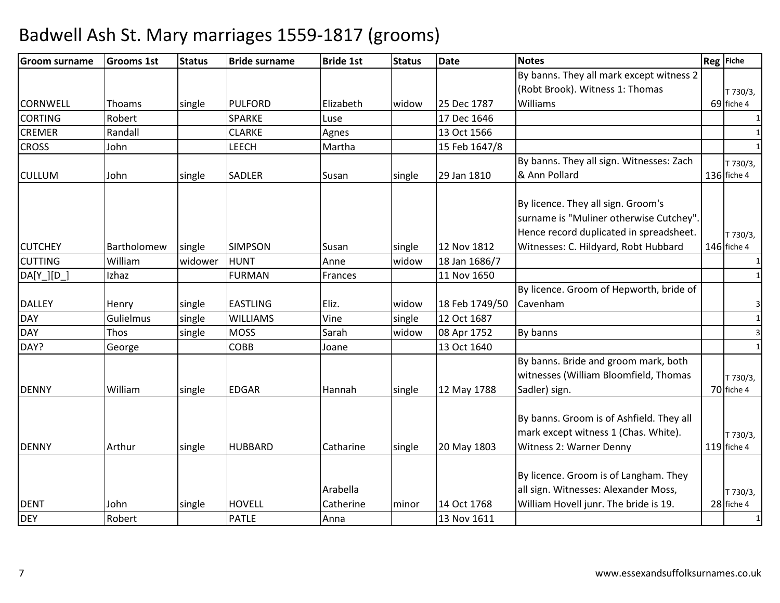| <b>Groom surname</b>      | <b>Grooms 1st</b> | <b>Status</b> | <b>Bride surname</b>          | <b>Bride 1st</b>              | <b>Status</b> | <b>Date</b>                | <b>Notes</b>                                                                                                             | Reg Fiche                              |
|---------------------------|-------------------|---------------|-------------------------------|-------------------------------|---------------|----------------------------|--------------------------------------------------------------------------------------------------------------------------|----------------------------------------|
|                           |                   |               |                               |                               |               |                            | By banns. They all mark except witness 2                                                                                 |                                        |
|                           |                   |               |                               |                               |               |                            | (Robt Brook). Witness 1: Thomas                                                                                          | T 730/3,                               |
| <b>CORNWELL</b>           | Thoams            | single        | <b>PULFORD</b>                | Elizabeth                     | widow         | 25 Dec 1787                | Williams                                                                                                                 | 69 fiche 4                             |
| <b>CORTING</b>            | Robert            |               | <b>SPARKE</b>                 | Luse                          |               | 17 Dec 1646                |                                                                                                                          |                                        |
| <b>CREMER</b>             | Randall           |               | <b>CLARKE</b>                 | Agnes                         |               | 13 Oct 1566                |                                                                                                                          | 1                                      |
| <b>CROSS</b>              | John              |               | LEECH                         | Martha                        |               | 15 Feb 1647/8              |                                                                                                                          | $\mathbf{1}$                           |
|                           |                   |               |                               |                               |               |                            | By banns. They all sign. Witnesses: Zach                                                                                 | T 730/3,                               |
| <b>CULLUM</b>             | John              | single        | SADLER                        | Susan                         | single        | 29 Jan 1810                | & Ann Pollard                                                                                                            | 136 fiche 4                            |
|                           |                   |               |                               |                               |               |                            | By licence. They all sign. Groom's<br>surname is "Muliner otherwise Cutchey".<br>Hence record duplicated in spreadsheet. | T 730/3,                               |
| <b>CUTCHEY</b>            | Bartholomew       | single        | <b>SIMPSON</b>                | Susan                         | single        | 12 Nov 1812                | Witnesses: C. Hildyard, Robt Hubbard                                                                                     | 146 fiche 4                            |
| <b>CUTTING</b>            | William           | widower       | <b>HUNT</b>                   | Anne                          | widow         | 18 Jan 1686/7              |                                                                                                                          |                                        |
| $DA[Y_{-}][D_{-}]$        | Izhaz             |               | <b>FURMAN</b>                 | Frances                       |               | 11 Nov 1650                |                                                                                                                          | $\mathbf{1}$                           |
|                           |                   |               |                               |                               |               |                            | By licence. Groom of Hepworth, bride of                                                                                  |                                        |
| <b>DALLEY</b>             | Henry             | single        | <b>EASTLING</b>               | Eliz.                         | widow         | 18 Feb 1749/50             | Cavenham                                                                                                                 | 3                                      |
| <b>DAY</b>                | Gulielmus         | single        | <b>WILLIAMS</b>               | Vine                          | single        | 12 Oct 1687                |                                                                                                                          | $\mathbf{1}$                           |
| <b>DAY</b>                | Thos              | single        | <b>MOSS</b>                   | Sarah                         | widow         | 08 Apr 1752                | By banns                                                                                                                 | 3                                      |
| DAY?                      | George            |               | COBB                          | Joane                         |               | 13 Oct 1640                |                                                                                                                          | $\mathbf{1}$                           |
| <b>DENNY</b>              | William           | single        | <b>EDGAR</b>                  | Hannah                        | single        | 12 May 1788                | By banns. Bride and groom mark, both<br>witnesses (William Bloomfield, Thomas<br>Sadler) sign.                           | T 730/3,<br>70 fiche 4                 |
| <b>DENNY</b>              | Arthur            | single        | <b>HUBBARD</b>                | Catharine                     | single        | 20 May 1803                | By banns. Groom is of Ashfield. They all<br>mark except witness 1 (Chas. White).<br>Witness 2: Warner Denny              | T 730/3,<br>119 fiche 4                |
| <b>DENT</b><br><b>DEY</b> | John<br>Robert    | single        | <b>HOVELL</b><br><b>PATLE</b> | Arabella<br>Catherine<br>Anna | minor         | 14 Oct 1768<br>13 Nov 1611 | By licence. Groom is of Langham. They<br>all sign. Witnesses: Alexander Moss,<br>William Hovell junr. The bride is 19.   | T 730/3,<br>28 fiche 4<br>$\mathbf{1}$ |
|                           |                   |               |                               |                               |               |                            |                                                                                                                          |                                        |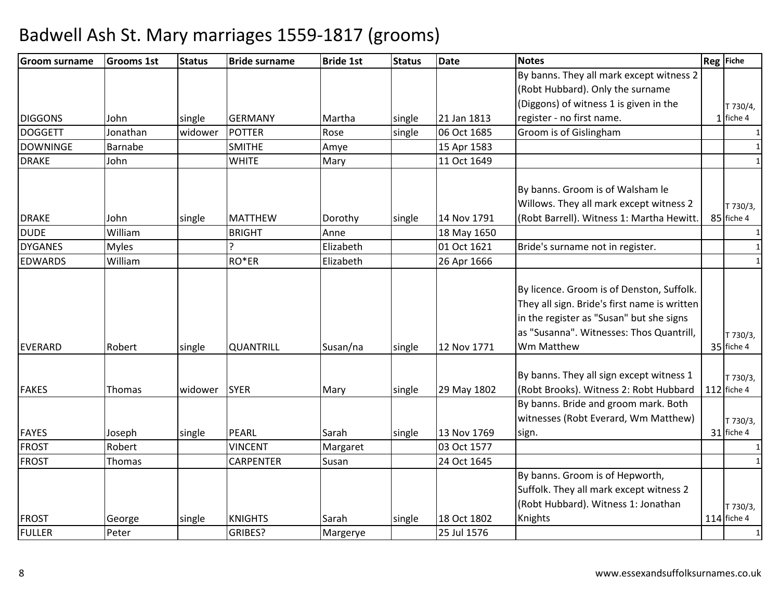| Groom surname   | <b>Grooms 1st</b> | <b>Status</b> | <b>Bride surname</b> | <b>Bride 1st</b> | <b>Status</b> | <b>Date</b> | <b>Notes</b>                                                                                                                                                                                    | Reg Fiche               |
|-----------------|-------------------|---------------|----------------------|------------------|---------------|-------------|-------------------------------------------------------------------------------------------------------------------------------------------------------------------------------------------------|-------------------------|
|                 |                   |               |                      |                  |               |             | By banns. They all mark except witness 2                                                                                                                                                        |                         |
|                 |                   |               |                      |                  |               |             | (Robt Hubbard). Only the surname                                                                                                                                                                |                         |
|                 |                   |               |                      |                  |               |             | (Diggons) of witness 1 is given in the                                                                                                                                                          | T 730/4,                |
| <b>DIGGONS</b>  | John              | single        | <b>GERMANY</b>       | Martha           | single        | 21 Jan 1813 | register - no first name.                                                                                                                                                                       | $1$ fiche 4             |
| <b>DOGGETT</b>  | Jonathan          | widower       | <b>POTTER</b>        | Rose             | single        | 06 Oct 1685 | Groom is of Gislingham                                                                                                                                                                          |                         |
| <b>DOWNINGE</b> | Barnabe           |               | <b>SMITHE</b>        | Amye             |               | 15 Apr 1583 |                                                                                                                                                                                                 |                         |
| <b>DRAKE</b>    | John              |               | <b>WHITE</b>         | Mary             |               | 11 Oct 1649 |                                                                                                                                                                                                 | $\mathbf{1}$            |
|                 |                   |               |                      |                  |               |             | By banns. Groom is of Walsham le<br>Willows. They all mark except witness 2                                                                                                                     | T 730/3,                |
| <b>DRAKE</b>    | John              | single        | <b>MATTHEW</b>       | Dorothy          | single        | 14 Nov 1791 | (Robt Barrell). Witness 1: Martha Hewitt.                                                                                                                                                       | 85 fiche 4              |
| <b>DUDE</b>     | William           |               | <b>BRIGHT</b>        | Anne             |               | 18 May 1650 |                                                                                                                                                                                                 | $\mathbf{1}$            |
| <b>DYGANES</b>  | <b>Myles</b>      |               |                      | Elizabeth        |               | 01 Oct 1621 | Bride's surname not in register.                                                                                                                                                                | 1                       |
| <b>EDWARDS</b>  | William           |               | RO <sup>*</sup> ER   | Elizabeth        |               | 26 Apr 1666 |                                                                                                                                                                                                 | $\mathbf{1}$            |
| <b>EVERARD</b>  | Robert            | single        | <b>QUANTRILL</b>     | Susan/na         | single        | 12 Nov 1771 | By licence. Groom is of Denston, Suffolk.<br>They all sign. Bride's first name is written<br>in the register as "Susan" but she signs<br>as "Susanna". Witnesses: Thos Quantrill,<br>Wm Matthew | T 730/3,<br>35 fiche 4  |
| <b>FAKES</b>    | Thomas            | widower       | <b>SYER</b>          | Mary             | single        | 29 May 1802 | By banns. They all sign except witness 1<br>(Robt Brooks). Witness 2: Robt Hubbard                                                                                                              | T 730/3,<br>112 fiche 4 |
| <b>FAYES</b>    | Joseph            | single        | PEARL                | Sarah            | single        | 13 Nov 1769 | By banns. Bride and groom mark. Both<br>witnesses (Robt Everard, Wm Matthew)<br>sign.                                                                                                           | T 730/3,<br>31 fiche 4  |
| <b>FROST</b>    | Robert            |               | <b>VINCENT</b>       | Margaret         |               | 03 Oct 1577 |                                                                                                                                                                                                 | 1                       |
| <b>FROST</b>    | Thomas            |               | <b>CARPENTER</b>     | Susan            |               | 24 Oct 1645 |                                                                                                                                                                                                 |                         |
|                 |                   |               |                      |                  |               |             | By banns. Groom is of Hepworth,<br>Suffolk. They all mark except witness 2<br>(Robt Hubbard). Witness 1: Jonathan                                                                               | T 730/3,                |
| <b>FROST</b>    | George            | single        | <b>KNIGHTS</b>       | Sarah            | single        | 18 Oct 1802 | Knights                                                                                                                                                                                         | 114 fiche 4             |
| <b>FULLER</b>   | Peter             |               | GRIBES?              | Margerye         |               | 25 Jul 1576 |                                                                                                                                                                                                 | $\mathbf{1}$            |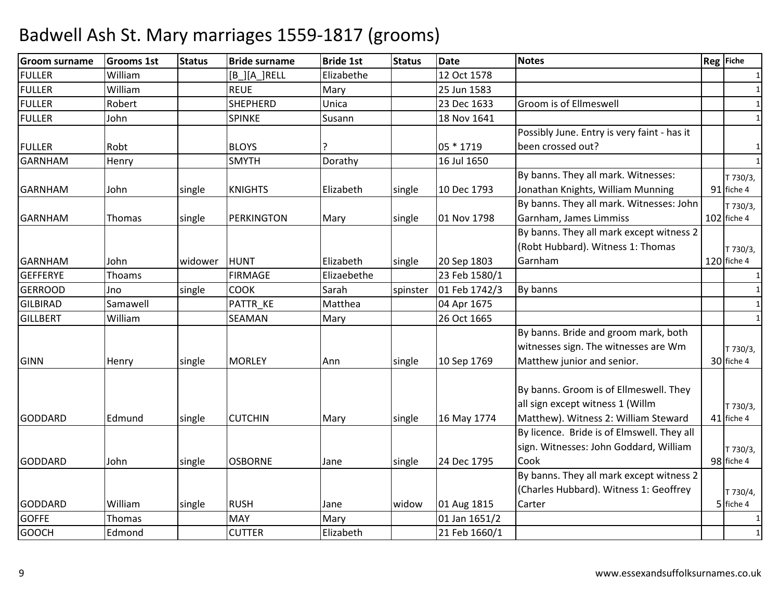| <b>Groom surname</b> | <b>Grooms 1st</b> | <b>Status</b> | <b>Bride surname</b> | <b>Bride 1st</b> | <b>Status</b> | <b>Date</b>   | <b>Notes</b>                                | Reg Fiche     |
|----------------------|-------------------|---------------|----------------------|------------------|---------------|---------------|---------------------------------------------|---------------|
| <b>FULLER</b>        | William           |               | $[B_][A_]$ RELL      | Elizabethe       |               | 12 Oct 1578   |                                             | 1             |
| <b>FULLER</b>        | William           |               | <b>REUE</b>          | Mary             |               | 25 Jun 1583   |                                             | $\mathbf{1}$  |
| <b>FULLER</b>        | Robert            |               | <b>SHEPHERD</b>      | Unica            |               | 23 Dec 1633   | Groom is of Ellmeswell                      | $\mathbf{1}$  |
| <b>FULLER</b>        | John              |               | <b>SPINKE</b>        | Susann           |               | 18 Nov 1641   |                                             | $\mathbf{1}$  |
|                      |                   |               |                      |                  |               |               | Possibly June. Entry is very faint - has it |               |
| <b>FULLER</b>        | Robt              |               | <b>BLOYS</b>         |                  |               | 05 * 1719     | been crossed out?                           | 1             |
| <b>GARNHAM</b>       | Henry             |               | <b>SMYTH</b>         | Dorathy          |               | 16 Jul 1650   |                                             | $\mathbf{1}$  |
|                      |                   |               |                      |                  |               |               | By banns. They all mark. Witnesses:         | T 730/3,      |
| <b>GARNHAM</b>       | John              | single        | <b>KNIGHTS</b>       | Elizabeth        | single        | 10 Dec 1793   | Jonathan Knights, William Munning           | 91 fiche 4    |
|                      |                   |               |                      |                  |               |               | By banns. They all mark. Witnesses: John    | T 730/3,      |
| <b>GARNHAM</b>       | Thomas            | single        | PERKINGTON           | Mary             | single        | 01 Nov 1798   | Garnham, James Limmiss                      | $102$ fiche 4 |
|                      |                   |               |                      |                  |               |               | By banns. They all mark except witness 2    |               |
|                      |                   |               |                      |                  |               |               | (Robt Hubbard). Witness 1: Thomas           | T 730/3,      |
| <b>GARNHAM</b>       | John              | widower       | <b>HUNT</b>          | Elizabeth        | single        | 20 Sep 1803   | Garnham                                     | 120 fiche 4   |
| <b>GEFFERYE</b>      | Thoams            |               | <b>FIRMAGE</b>       | Elizaebethe      |               | 23 Feb 1580/1 |                                             |               |
| <b>GERROOD</b>       | Jno               | single        | <b>COOK</b>          | Sarah            | spinster      | 01 Feb 1742/3 | By banns                                    | $\mathbf{1}$  |
| <b>GILBIRAD</b>      | Samawell          |               | PATTR KE             | Matthea          |               | 04 Apr 1675   |                                             | 1             |
| <b>GILLBERT</b>      | William           |               | SEAMAN               | Mary             |               | 26 Oct 1665   |                                             | $\mathbf{1}$  |
|                      |                   |               |                      |                  |               |               | By banns. Bride and groom mark, both        |               |
|                      |                   |               |                      |                  |               |               | witnesses sign. The witnesses are Wm        | T 730/3,      |
| <b>GINN</b>          | Henry             | single        | <b>MORLEY</b>        | Ann              | single        | 10 Sep 1769   | Matthew junior and senior.                  | 30 fiche 4    |
|                      |                   |               |                      |                  |               |               |                                             |               |
|                      |                   |               |                      |                  |               |               | By banns. Groom is of Ellmeswell. They      |               |
|                      |                   |               |                      |                  |               |               | all sign except witness 1 (Willm            | T 730/3,      |
| <b>GODDARD</b>       | Edmund            | single        | <b>CUTCHIN</b>       | Mary             | single        | 16 May 1774   | Matthew). Witness 2: William Steward        | 41 fiche 4    |
|                      |                   |               |                      |                  |               |               | By licence. Bride is of Elmswell. They all  |               |
|                      |                   |               |                      |                  |               |               | sign. Witnesses: John Goddard, William      | T 730/3,      |
| <b>GODDARD</b>       | John              | single        | <b>OSBORNE</b>       | Jane             | single        | 24 Dec 1795   | Cook                                        | 98 fiche 4    |
|                      |                   |               |                      |                  |               |               | By banns. They all mark except witness 2    |               |
|                      |                   |               |                      |                  |               |               | (Charles Hubbard). Witness 1: Geoffrey      | T 730/4,      |
| <b>GODDARD</b>       | William           | single        | <b>RUSH</b>          | Jane             | widow         | 01 Aug 1815   | Carter                                      | 5 fiche 4     |
| <b>GOFFE</b>         | Thomas            |               | MAY                  | Mary             |               | 01 Jan 1651/2 |                                             | 1             |
| <b>GOOCH</b>         | Edmond            |               | <b>CUTTER</b>        | Elizabeth        |               | 21 Feb 1660/1 |                                             | $\mathbf{1}$  |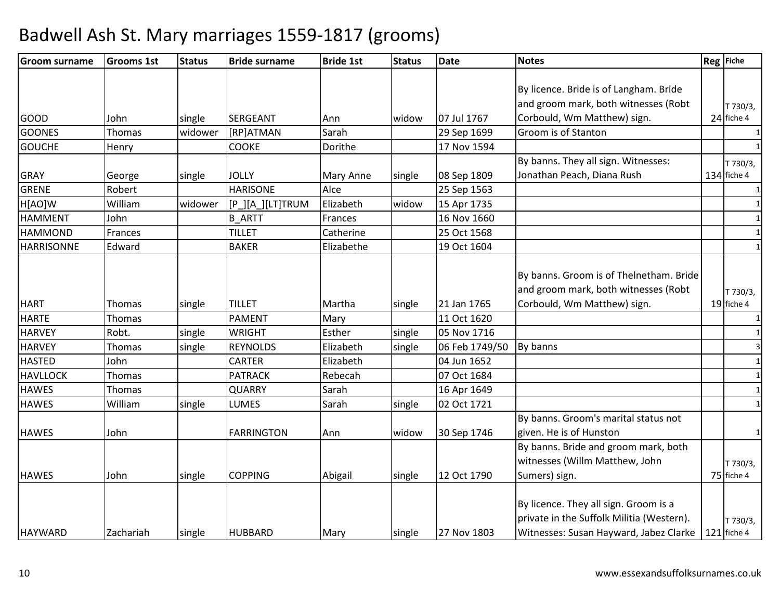| <b>Groom surname</b> | <b>Grooms 1st</b> | <b>Status</b> | <b>Bride surname</b> | <b>Bride 1st</b> | <b>Status</b> | <b>Date</b>    | <b>Notes</b>                              | Reg Fiche    |
|----------------------|-------------------|---------------|----------------------|------------------|---------------|----------------|-------------------------------------------|--------------|
|                      |                   |               |                      |                  |               |                |                                           |              |
|                      |                   |               |                      |                  |               |                | By licence. Bride is of Langham. Bride    |              |
|                      |                   |               |                      |                  |               |                | and groom mark, both witnesses (Robt      | T 730/3,     |
| <b>GOOD</b>          | John              | single        | SERGEANT             | Ann              | widow         | 07 Jul 1767    | Corbould, Wm Matthew) sign.               | 24 fiche 4   |
| <b>GOONES</b>        | Thomas            | widower       | [RP]ATMAN            | Sarah            |               | 29 Sep 1699    | Groom is of Stanton                       |              |
| <b>GOUCHE</b>        | Henry             |               | <b>COOKE</b>         | Dorithe          |               | 17 Nov 1594    |                                           | $\mathbf{1}$ |
|                      |                   |               |                      |                  |               |                | By banns. They all sign. Witnesses:       | T 730/3,     |
| <b>GRAY</b>          | George            | single        | <b>JOLLY</b>         | <b>Mary Anne</b> | single        | 08 Sep 1809    | Jonathan Peach, Diana Rush                | 134 fiche 4  |
| <b>GRENE</b>         | Robert            |               | <b>HARISONE</b>      | Alce             |               | 25 Sep 1563    |                                           | 1            |
| H[AO]W               | William           | widower       | [P_][A_][LT]TRUM     | Elizabeth        | widow         | 15 Apr 1735    |                                           | 1            |
| <b>HAMMENT</b>       | John              |               | <b>B ARTT</b>        | Frances          |               | 16 Nov 1660    |                                           | $\mathbf{1}$ |
| <b>HAMMOND</b>       | Frances           |               | <b>TILLET</b>        | Catherine        |               | 25 Oct 1568    |                                           | $\mathbf{1}$ |
| <b>HARRISONNE</b>    | Edward            |               | <b>BAKER</b>         | Elizabethe       |               | 19 Oct 1604    |                                           | $\mathbf{1}$ |
|                      |                   |               |                      |                  |               |                |                                           |              |
|                      |                   |               |                      |                  |               |                | By banns. Groom is of Thelnetham. Bride   |              |
|                      |                   |               |                      |                  |               |                | and groom mark, both witnesses (Robt      | T 730/3,     |
| <b>HART</b>          | Thomas            | single        | <b>TILLET</b>        | Martha           | single        | 21 Jan 1765    | Corbould, Wm Matthew) sign.               | 19 fiche 4   |
| <b>HARTE</b>         | Thomas            |               | <b>PAMENT</b>        | Mary             |               | 11 Oct 1620    |                                           | $\mathbf{1}$ |
| <b>HARVEY</b>        | Robt.             | single        | <b>WRIGHT</b>        | Esther           | single        | 05 Nov 1716    |                                           | 1            |
| <b>HARVEY</b>        | Thomas            | single        | <b>REYNOLDS</b>      | Elizabeth        | single        | 06 Feb 1749/50 | By banns                                  | 3            |
| <b>HASTED</b>        | John              |               | <b>CARTER</b>        | Elizabeth        |               | 04 Jun 1652    |                                           | 1            |
| <b>HAVLLOCK</b>      | Thomas            |               | PATRACK              | Rebecah          |               | 07 Oct 1684    |                                           | $\mathbf{1}$ |
| <b>HAWES</b>         | Thomas            |               | <b>QUARRY</b>        | Sarah            |               | 16 Apr 1649    |                                           | $\mathbf{1}$ |
| <b>HAWES</b>         | William           | single        | <b>LUMES</b>         | Sarah            | single        | 02 Oct 1721    |                                           | $\mathbf{1}$ |
|                      |                   |               |                      |                  |               |                | By banns. Groom's marital status not      |              |
| <b>HAWES</b>         | John              |               | <b>FARRINGTON</b>    | Ann              | widow         | 30 Sep 1746    | given. He is of Hunston                   | 1            |
|                      |                   |               |                      |                  |               |                | By banns. Bride and groom mark, both      |              |
|                      |                   |               |                      |                  |               |                | witnesses (Willm Matthew, John            | T 730/3,     |
| <b>HAWES</b>         | John              | single        | <b>COPPING</b>       | Abigail          | single        | 12 Oct 1790    | Sumers) sign.                             | 75 fiche 4   |
|                      |                   |               |                      |                  |               |                |                                           |              |
|                      |                   |               |                      |                  |               |                | By licence. They all sign. Groom is a     |              |
|                      |                   |               |                      |                  |               |                | private in the Suffolk Militia (Western). | T 730/3,     |
| <b>HAYWARD</b>       | Zachariah         | single        | <b>HUBBARD</b>       | Mary             | single        | 27 Nov 1803    | Witnesses: Susan Hayward, Jabez Clarke    | 121 fiche 4  |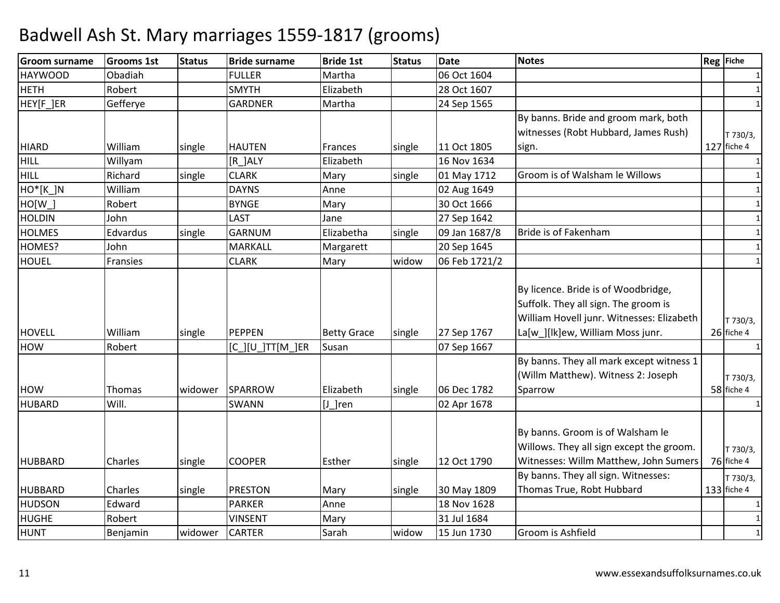| <b>Groom surname</b>  | <b>Grooms 1st</b> | <b>Status</b> | <b>Bride surname</b>  | <b>Bride 1st</b>   | <b>Status</b> | <b>Date</b>   | <b>Notes</b>                                                                                                                                                 | Reg Fiche              |
|-----------------------|-------------------|---------------|-----------------------|--------------------|---------------|---------------|--------------------------------------------------------------------------------------------------------------------------------------------------------------|------------------------|
| <b>HAYWOOD</b>        | Obadiah           |               | <b>FULLER</b>         | Martha             |               | 06 Oct 1604   |                                                                                                                                                              | 1                      |
| <b>HETH</b>           | Robert            |               | <b>SMYTH</b>          | Elizabeth          |               | 28 Oct 1607   |                                                                                                                                                              | 1                      |
| HEY[F_]ER             | Gefferye          |               | <b>GARDNER</b>        | Martha             |               | 24 Sep 1565   |                                                                                                                                                              | $\mathbf{1}$           |
|                       |                   |               |                       |                    |               |               | By banns. Bride and groom mark, both                                                                                                                         |                        |
|                       |                   |               |                       |                    |               |               | witnesses (Robt Hubbard, James Rush)                                                                                                                         | T 730/3,               |
| <b>HIARD</b>          | William           | single        | <b>HAUTEN</b>         | Frances            | single        | 11 Oct 1805   | sign.                                                                                                                                                        | 127 fiche 4            |
| HILL                  | Willyam           |               | $[R_$ $ALY$           | Elizabeth          |               | 16 Nov 1634   |                                                                                                                                                              | 1                      |
| HILL                  | Richard           | single        | <b>CLARK</b>          | Mary               | single        | 01 May 1712   | Groom is of Walsham le Willows                                                                                                                               |                        |
| HO <sup>*</sup> [K_]N | William           |               | <b>DAYNS</b>          | Anne               |               | 02 Aug 1649   |                                                                                                                                                              | $\mathbf{1}$           |
| $HO[W_$               | Robert            |               | <b>BYNGE</b>          | Mary               |               | 30 Oct 1666   |                                                                                                                                                              | $\mathbf{1}$           |
| <b>HOLDIN</b>         | John              |               | <b>LAST</b>           | Jane               |               | 27 Sep 1642   |                                                                                                                                                              | $\mathbf{1}$           |
| <b>HOLMES</b>         | Edvardus          | single        | GARNUM                | Elizabetha         | single        | 09 Jan 1687/8 | Bride is of Fakenham                                                                                                                                         | $\mathbf{1}$           |
| HOMES?                | John              |               | MARKALL               | Margarett          |               | 20 Sep 1645   |                                                                                                                                                              | 1                      |
| <b>HOUEL</b>          | Fransies          |               | <b>CLARK</b>          | Mary               | widow         | 06 Feb 1721/2 |                                                                                                                                                              | $\mathbf{1}$           |
| <b>HOVELL</b>         | William           | single        | <b>PEPPEN</b>         | <b>Betty Grace</b> | single        | 27 Sep 1767   | By licence. Bride is of Woodbridge,<br>Suffolk. They all sign. The groom is<br>William Hovell junr. Witnesses: Elizabeth<br>La[w_][lk]ew, William Moss junr. | T 730/3,<br>26 fiche 4 |
| <b>HOW</b>            | Robert            |               | $[C_l][U_lTT[M_l]ER]$ | Susan              |               | 07 Sep 1667   |                                                                                                                                                              |                        |
| <b>HOW</b>            | Thomas            | widower       | SPARROW               | Elizabeth          | single        | 06 Dec 1782   | By banns. They all mark except witness 1<br>(Willm Matthew). Witness 2: Joseph<br>Sparrow                                                                    | T 730/3,<br>58 fiche 4 |
| <b>HUBARD</b>         | Will.             |               | <b>SWANN</b>          | $[J_]$ ren         |               | 02 Apr 1678   |                                                                                                                                                              | $\mathbf{1}$           |
| <b>HUBBARD</b>        | Charles           | single        | <b>COOPER</b>         | Esther             | single        | 12 Oct 1790   | By banns. Groom is of Walsham le<br>Willows. They all sign except the groom.<br>Witnesses: Willm Matthew, John Sumers                                        | T 730/3,<br>76 fiche 4 |
|                       |                   |               |                       |                    |               |               | By banns. They all sign. Witnesses:                                                                                                                          | T 730/3,               |
| <b>HUBBARD</b>        | Charles           | single        | <b>PRESTON</b>        | Mary               | single        | 30 May 1809   | Thomas True, Robt Hubbard                                                                                                                                    | 133 fiche 4            |
| <b>HUDSON</b>         | Edward            |               | <b>PARKER</b>         | Anne               |               | 18 Nov 1628   |                                                                                                                                                              |                        |
| <b>HUGHE</b>          | Robert            |               | <b>VINSENT</b>        | Mary               |               | 31 Jul 1684   |                                                                                                                                                              | $\mathbf{1}$           |
| <b>HUNT</b>           | Benjamin          | widower       | <b>CARTER</b>         | Sarah              | widow         | 15 Jun 1730   | Groom is Ashfield                                                                                                                                            |                        |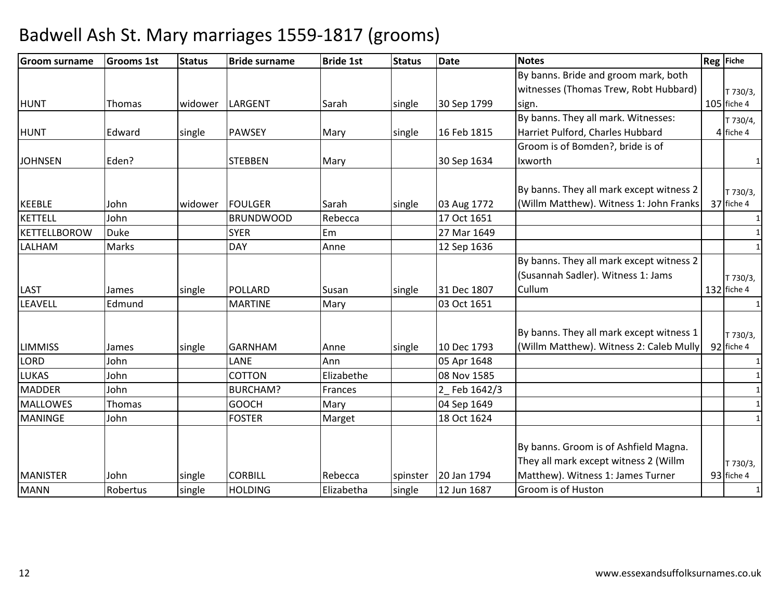| <b>Groom surname</b> | <b>Grooms 1st</b> | <b>Status</b> | <b>Bride surname</b> | <b>Bride 1st</b> | <b>Status</b> | <b>Date</b> | <b>Notes</b>                             | Reg Fiche              |
|----------------------|-------------------|---------------|----------------------|------------------|---------------|-------------|------------------------------------------|------------------------|
|                      |                   |               |                      |                  |               |             | By banns. Bride and groom mark, both     |                        |
|                      |                   |               |                      |                  |               |             | witnesses (Thomas Trew, Robt Hubbard)    | T 730/3,               |
| <b>HUNT</b>          | Thomas            | widower       | LARGENT              | Sarah            | single        | 30 Sep 1799 | sign.                                    | 105 fiche 4            |
|                      |                   |               |                      |                  |               |             | By banns. They all mark. Witnesses:      | T 730/4,               |
| <b>HUNT</b>          | Edward            | single        | <b>PAWSEY</b>        | Mary             | single        | 16 Feb 1815 | Harriet Pulford, Charles Hubbard         | 4 fiche 4              |
|                      |                   |               |                      |                  |               |             | Groom is of Bomden?, bride is of         |                        |
| <b>JOHNSEN</b>       | Eden?             |               | <b>STEBBEN</b>       | Mary             |               | 30 Sep 1634 | Ixworth                                  |                        |
|                      |                   |               |                      |                  |               |             |                                          |                        |
|                      |                   |               | <b>FOULGER</b>       | Sarah            |               |             | By banns. They all mark except witness 2 | T 730/3,<br>37 fiche 4 |
| <b>KEEBLE</b>        | John              | widower       |                      |                  | single        | 03 Aug 1772 | (Willm Matthew). Witness 1: John Franks  |                        |
| <b>KETTELL</b>       | John              |               | <b>BRUNDWOOD</b>     | Rebecca          |               | 17 Oct 1651 |                                          | $\mathbf{1}$           |
| <b>KETTELLBOROW</b>  | <b>Duke</b>       |               | <b>SYER</b>          | Em               |               | 27 Mar 1649 |                                          | $\mathbf{1}$           |
| LALHAM               | Marks             |               | <b>DAY</b>           | Anne             |               | 12 Sep 1636 |                                          | $\mathbf{1}$           |
|                      |                   |               |                      |                  |               |             | By banns. They all mark except witness 2 |                        |
|                      |                   |               |                      |                  |               |             | (Susannah Sadler). Witness 1: Jams       | T 730/3,               |
| LAST                 | James             | single        | <b>POLLARD</b>       | Susan            | single        | 31 Dec 1807 | Cullum                                   | 132 fiche 4            |
| LEAVELL              | Edmund            |               | <b>MARTINE</b>       | Mary             |               | 03 Oct 1651 |                                          | $\mathbf{1}$           |
|                      |                   |               |                      |                  |               |             |                                          |                        |
|                      |                   |               |                      |                  |               |             | By banns. They all mark except witness 1 | T 730/3,               |
| <b>LIMMISS</b>       | James             | single        | <b>GARNHAM</b>       | Anne             | single        | 10 Dec 1793 | (Willm Matthew). Witness 2: Caleb Mully  | 92 fiche 4             |
| LORD                 | John              |               | LANE                 | Ann              |               | 05 Apr 1648 |                                          | $\mathbf{1}$           |
| <b>LUKAS</b>         | John              |               | <b>COTTON</b>        | Elizabethe       |               | 08 Nov 1585 |                                          |                        |
| <b>MADDER</b>        | John              |               | <b>BURCHAM?</b>      | Frances          |               | Feb 1642/3  |                                          | $\mathbf{1}$           |
| <b>MALLOWES</b>      | Thomas            |               | <b>GOOCH</b>         | Mary             |               | 04 Sep 1649 |                                          | $\mathbf{1}$           |
| <b>MANINGE</b>       | John              |               | <b>FOSTER</b>        | Marget           |               | 18 Oct 1624 |                                          |                        |
|                      |                   |               |                      |                  |               |             |                                          |                        |
|                      |                   |               |                      |                  |               |             | By banns. Groom is of Ashfield Magna.    |                        |
|                      |                   |               |                      |                  |               |             | They all mark except witness 2 (Willm    | T 730/3,               |
| <b>MANISTER</b>      | John              | single        | <b>CORBILL</b>       | Rebecca          | spinster      | 20 Jan 1794 | Matthew). Witness 1: James Turner        | 93 fiche 4             |
| <b>MANN</b>          | Robertus          | single        | <b>HOLDING</b>       | Elizabetha       | single        | 12 Jun 1687 | Groom is of Huston                       |                        |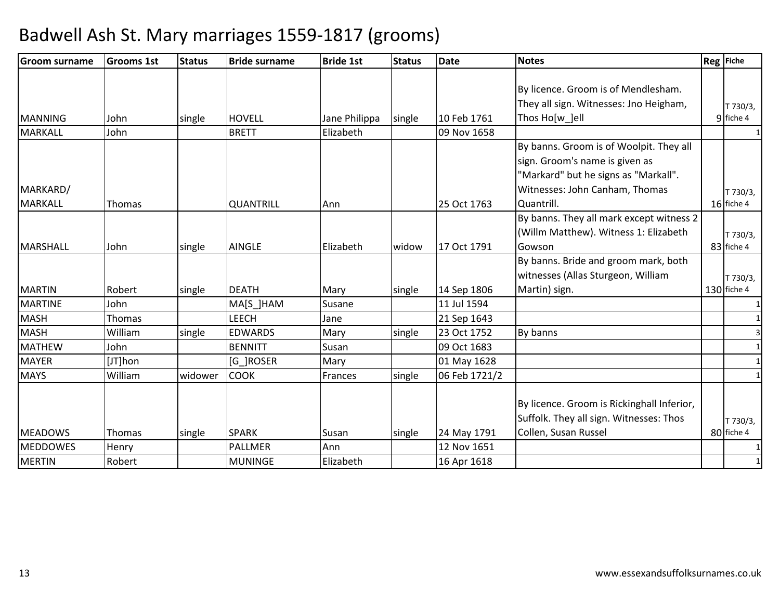| <b>Groom surname</b> | <b>Grooms 1st</b> | <b>Status</b> | <b>Bride surname</b> | <b>Bride 1st</b> | <b>Status</b> | <b>Date</b>   | <b>Notes</b>                               | Reg Fiche    |
|----------------------|-------------------|---------------|----------------------|------------------|---------------|---------------|--------------------------------------------|--------------|
|                      |                   |               |                      |                  |               |               |                                            |              |
|                      |                   |               |                      |                  |               |               | By licence. Groom is of Mendlesham.        |              |
|                      |                   |               |                      |                  |               |               | They all sign. Witnesses: Jno Heigham,     | T 730/3,     |
| <b>MANNING</b>       | John              | single        | <b>HOVELL</b>        | Jane Philippa    | single        | 10 Feb 1761   | Thos Ho[w ]ell                             | 9 fiche 4    |
| MARKALL              | John              |               | <b>BRETT</b>         | Elizabeth        |               | 09 Nov 1658   |                                            | $\mathbf{1}$ |
|                      |                   |               |                      |                  |               |               | By banns. Groom is of Woolpit. They all    |              |
|                      |                   |               |                      |                  |               |               | sign. Groom's name is given as             |              |
|                      |                   |               |                      |                  |               |               | "Markard" but he signs as "Markall".       |              |
| MARKARD/             |                   |               |                      |                  |               |               | Witnesses: John Canham, Thomas             | T 730/3,     |
| <b>MARKALL</b>       | Thomas            |               | <b>QUANTRILL</b>     | Ann              |               | 25 Oct 1763   | Quantrill.                                 | 16 fiche 4   |
|                      |                   |               |                      |                  |               |               | By banns. They all mark except witness 2   |              |
|                      |                   |               |                      |                  |               |               | (Willm Matthew). Witness 1: Elizabeth      | T 730/3,     |
| <b>MARSHALL</b>      | John              | single        | <b>AINGLE</b>        | Elizabeth        | widow         | 17 Oct 1791   | Gowson                                     | 83 fiche 4   |
|                      |                   |               |                      |                  |               |               | By banns. Bride and groom mark, both       |              |
|                      |                   |               |                      |                  |               |               | witnesses (Allas Sturgeon, William         | T 730/3,     |
| <b>MARTIN</b>        | Robert            | single        | <b>DEATH</b>         | Mary             | single        | 14 Sep 1806   | Martin) sign.                              | 130 fiche 4  |
| <b>MARTINE</b>       | John              |               | MA[S_]HAM            | Susane           |               | 11 Jul 1594   |                                            |              |
| <b>MASH</b>          | Thomas            |               | <b>LEECH</b>         | Jane             |               | 21 Sep 1643   |                                            |              |
| <b>MASH</b>          | William           | single        | <b>EDWARDS</b>       | Mary             | single        | 23 Oct 1752   | By banns                                   |              |
| <b>MATHEW</b>        | John              |               | <b>BENNITT</b>       | Susan            |               | 09 Oct 1683   |                                            |              |
| <b>MAYER</b>         | [JT]hon           |               | [G_]ROSER            | Mary             |               | 01 May 1628   |                                            |              |
| <b>MAYS</b>          | William           | widower       | <b>COOK</b>          | Frances          | single        | 06 Feb 1721/2 |                                            | 1            |
|                      |                   |               |                      |                  |               |               |                                            |              |
|                      |                   |               |                      |                  |               |               | By licence. Groom is Rickinghall Inferior, |              |
|                      |                   |               |                      |                  |               |               | Suffolk. They all sign. Witnesses: Thos    | T 730/3,     |
| <b>MEADOWS</b>       | Thomas            | single        | <b>SPARK</b>         | Susan            | single        | 24 May 1791   | Collen, Susan Russel                       | 80 fiche 4   |
| <b>MEDDOWES</b>      | Henry             |               | <b>PALLMER</b>       | Ann              |               | 12 Nov 1651   |                                            |              |
| <b>MERTIN</b>        | Robert            |               | <b>MUNINGE</b>       | Elizabeth        |               | 16 Apr 1618   |                                            |              |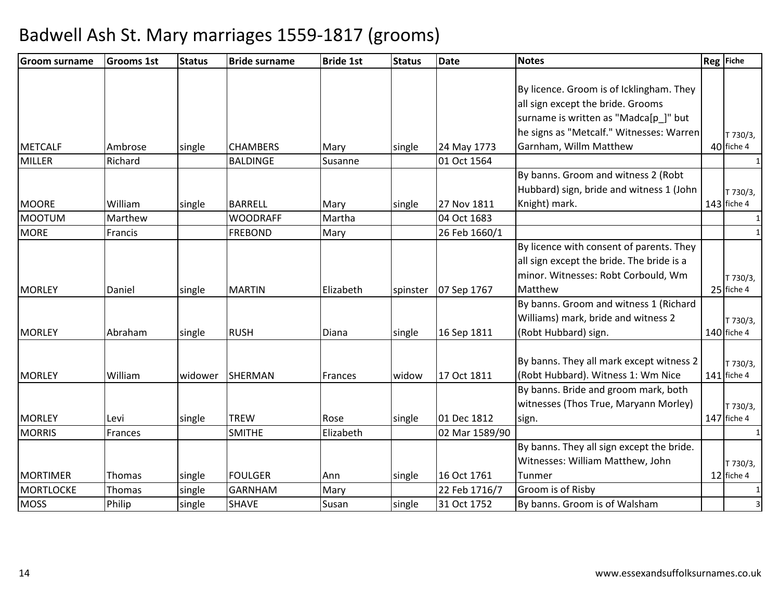| <b>Groom surname</b> | <b>Grooms 1st</b> | <b>Status</b> | <b>Bride surname</b> | <b>Bride 1st</b> | <b>Status</b> | <b>Date</b>    | <b>Notes</b>                              | Reg Fiche              |
|----------------------|-------------------|---------------|----------------------|------------------|---------------|----------------|-------------------------------------------|------------------------|
|                      |                   |               |                      |                  |               |                | By licence. Groom is of Icklingham. They  |                        |
|                      |                   |               |                      |                  |               |                | all sign except the bride. Grooms         |                        |
|                      |                   |               |                      |                  |               |                | surname is written as "Madca[p_]" but     |                        |
|                      |                   |               |                      |                  |               |                | he signs as "Metcalf." Witnesses: Warren  |                        |
| <b>METCALF</b>       | Ambrose           | single        | <b>CHAMBERS</b>      | Mary             | single        | 24 May 1773    | Garnham, Willm Matthew                    | T 730/3,<br>40 fiche 4 |
| <b>MILLER</b>        | Richard           |               | <b>BALDINGE</b>      | Susanne          |               | 01 Oct 1564    |                                           | $\mathbf{1}$           |
|                      |                   |               |                      |                  |               |                | By banns. Groom and witness 2 (Robt       |                        |
|                      |                   |               |                      |                  |               |                | Hubbard) sign, bride and witness 1 (John  | T 730/3,               |
| <b>MOORE</b>         | William           | single        | <b>BARRELL</b>       | Mary             | single        | 27 Nov 1811    | Knight) mark.                             | 143 fiche 4            |
| <b>MOOTUM</b>        | Marthew           |               | <b>WOODRAFF</b>      | Martha           |               | 04 Oct 1683    |                                           |                        |
| <b>MORE</b>          | Francis           |               | <b>FREBOND</b>       | Mary             |               | 26 Feb 1660/1  |                                           | $\mathbf{1}$           |
|                      |                   |               |                      |                  |               |                | By licence with consent of parents. They  |                        |
|                      |                   |               |                      |                  |               |                | all sign except the bride. The bride is a |                        |
|                      |                   |               |                      |                  |               |                | minor. Witnesses: Robt Corbould, Wm       |                        |
| <b>MORLEY</b>        | Daniel            | single        | <b>MARTIN</b>        | Elizabeth        | spinster      | 07 Sep 1767    | Matthew                                   | T 730/3,<br>25 fiche 4 |
|                      |                   |               |                      |                  |               |                | By banns. Groom and witness 1 (Richard    |                        |
|                      |                   |               |                      |                  |               |                | Williams) mark, bride and witness 2       | T 730/3,               |
| <b>MORLEY</b>        | Abraham           | single        | <b>RUSH</b>          | Diana            | single        | 16 Sep 1811    | (Robt Hubbard) sign.                      | 140 fiche 4            |
|                      |                   |               |                      |                  |               |                |                                           |                        |
|                      |                   |               |                      |                  |               |                | By banns. They all mark except witness 2  | T 730/3,               |
| <b>MORLEY</b>        | William           | widower       | <b>SHERMAN</b>       | Frances          | widow         | 17 Oct 1811    | (Robt Hubbard). Witness 1: Wm Nice        | 141 fiche 4            |
|                      |                   |               |                      |                  |               |                | By banns. Bride and groom mark, both      |                        |
|                      |                   |               |                      |                  |               |                | witnesses (Thos True, Maryann Morley)     | T 730/3,               |
| <b>MORLEY</b>        | Levi              | single        | <b>TREW</b>          | Rose             | single        | 01 Dec 1812    | sign.                                     | $147$ fiche 4          |
| <b>MORRIS</b>        | Frances           |               | <b>SMITHE</b>        | Elizabeth        |               | 02 Mar 1589/90 |                                           | $\mathbf{1}$           |
|                      |                   |               |                      |                  |               |                | By banns. They all sign except the bride. |                        |
|                      |                   |               |                      |                  |               |                | Witnesses: William Matthew, John          | T 730/3,               |
| <b>MORTIMER</b>      | <b>Thomas</b>     | single        | <b>FOULGER</b>       | Ann              | single        | 16 Oct 1761    | Tunmer                                    | 12 fiche 4             |
| <b>MORTLOCKE</b>     | Thomas            | single        | <b>GARNHAM</b>       | Mary             |               | 22 Feb 1716/7  | Groom is of Risby                         | 1                      |
| <b>MOSS</b>          | Philip            | single        | <b>SHAVE</b>         | Susan            | single        | 31 Oct 1752    | By banns. Groom is of Walsham             | 3                      |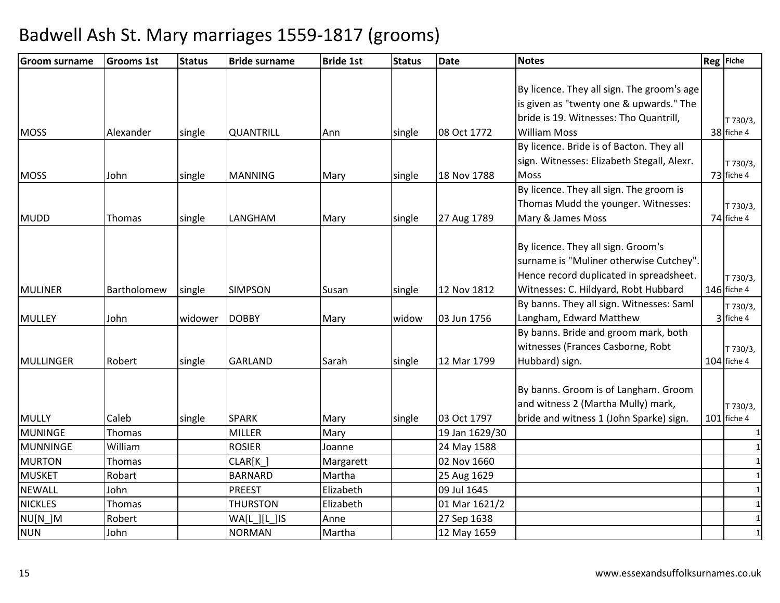| <b>Groom surname</b> | <b>Grooms 1st</b> | <b>Status</b> | <b>Bride surname</b> | <b>Bride 1st</b> | <b>Status</b> | <b>Date</b>    | <b>Notes</b>                               | Reg Fiche     |
|----------------------|-------------------|---------------|----------------------|------------------|---------------|----------------|--------------------------------------------|---------------|
|                      |                   |               |                      |                  |               |                |                                            |               |
|                      |                   |               |                      |                  |               |                | By licence. They all sign. The groom's age |               |
|                      |                   |               |                      |                  |               |                | is given as "twenty one & upwards." The    |               |
|                      |                   |               |                      |                  |               |                | bride is 19. Witnesses: Tho Quantrill,     | T 730/3,      |
| <b>MOSS</b>          | Alexander         | single        | <b>QUANTRILL</b>     | Ann              | single        | 08 Oct 1772    | <b>William Moss</b>                        | 38 fiche 4    |
|                      |                   |               |                      |                  |               |                | By licence. Bride is of Bacton. They all   |               |
|                      |                   |               |                      |                  |               |                | sign. Witnesses: Elizabeth Stegall, Alexr. | T 730/3,      |
| <b>MOSS</b>          | John              | single        | <b>MANNING</b>       | Mary             | single        | 18 Nov 1788    | <b>Moss</b>                                | 73 fiche 4    |
|                      |                   |               |                      |                  |               |                | By licence. They all sign. The groom is    |               |
|                      |                   |               |                      |                  |               |                | Thomas Mudd the younger. Witnesses:        | T 730/3,      |
| <b>MUDD</b>          | Thomas            | single        | LANGHAM              | Mary             | single        | 27 Aug 1789    | Mary & James Moss                          | 74 fiche 4    |
|                      |                   |               |                      |                  |               |                |                                            |               |
|                      |                   |               |                      |                  |               |                | By licence. They all sign. Groom's         |               |
|                      |                   |               |                      |                  |               |                | surname is "Muliner otherwise Cutchey".    |               |
|                      |                   |               |                      |                  |               |                | Hence record duplicated in spreadsheet.    | T 730/3,      |
| <b>MULINER</b>       | Bartholomew       | single        | <b>SIMPSON</b>       | Susan            | single        | 12 Nov 1812    | Witnesses: C. Hildyard, Robt Hubbard       | 146 fiche 4   |
|                      |                   |               |                      |                  |               |                | By banns. They all sign. Witnesses: Saml   | T 730/3,      |
| <b>MULLEY</b>        | John              | widower       | <b>DOBBY</b>         | Mary             | widow         | 03 Jun 1756    | Langham, Edward Matthew                    | 3 fiche 4     |
|                      |                   |               |                      |                  |               |                | By banns. Bride and groom mark, both       |               |
|                      |                   |               |                      |                  |               |                | witnesses (Frances Casborne, Robt          | T 730/3,      |
| MULLINGER            | Robert            | single        | <b>GARLAND</b>       | Sarah            | single        | 12 Mar 1799    | Hubbard) sign.                             | 104 fiche 4   |
|                      |                   |               |                      |                  |               |                |                                            |               |
|                      |                   |               |                      |                  |               |                | By banns. Groom is of Langham. Groom       |               |
|                      |                   |               |                      |                  |               |                | and witness 2 (Martha Mully) mark,         | T 730/3,      |
| <b>MULLY</b>         | Caleb             | single        | <b>SPARK</b>         | Mary             | single        | 03 Oct 1797    | bride and witness 1 (John Sparke) sign.    | $101$ fiche 4 |
| MUNINGE              | Thomas            |               | <b>MILLER</b>        | Mary             |               | 19 Jan 1629/30 |                                            |               |
| <b>MUNNINGE</b>      | William           |               | <b>ROSIER</b>        | Joanne           |               | 24 May 1588    |                                            |               |
| <b>MURTON</b>        | Thomas            |               | CLAR[K]              | Margarett        |               | 02 Nov 1660    |                                            | $\mathbf{1}$  |
| <b>MUSKET</b>        | Robart            |               | <b>BARNARD</b>       | Martha           |               | 25 Aug 1629    |                                            | $\mathbf{1}$  |
| <b>NEWALL</b>        | John              |               | <b>PREEST</b>        | Elizabeth        |               | 09 Jul 1645    |                                            | $\mathbf{1}$  |
| <b>NICKLES</b>       | Thomas            |               | <b>THURSTON</b>      | Elizabeth        |               | 01 Mar 1621/2  |                                            | $\mathbf{1}$  |
| NU[N_]M              | Robert            |               | WA[L ][L ]IS         | Anne             |               | 27 Sep 1638    |                                            | $\mathbf{1}$  |
| <b>NUN</b>           | John              |               | <b>NORMAN</b>        | Martha           |               | 12 May 1659    |                                            | $\mathbf{1}$  |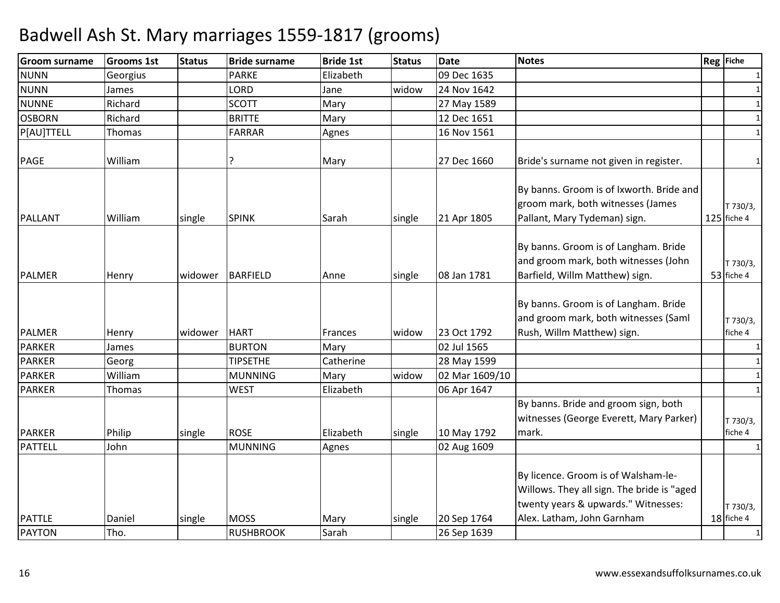| 09 Dec 1635<br><b>NUNN</b><br><b>PARKE</b><br>Elizabeth<br>Georgius                                                                                                                                                                         | 1                       |
|---------------------------------------------------------------------------------------------------------------------------------------------------------------------------------------------------------------------------------------------|-------------------------|
|                                                                                                                                                                                                                                             |                         |
| <b>NUNN</b><br>LORD<br>widow<br>24 Nov 1642<br>Jane<br>James                                                                                                                                                                                | 1                       |
| <b>NUNNE</b><br>Richard<br><b>SCOTT</b><br>Mary<br>27 May 1589                                                                                                                                                                              | $\mathbf{1}$            |
| <b>OSBORN</b><br>Richard<br><b>BRITTE</b><br>12 Dec 1651<br>Mary                                                                                                                                                                            | $\mathbf{1}$            |
| P[AU]TTELL<br>16 Nov 1561<br>Thomas<br><b>FARRAR</b><br>Agnes                                                                                                                                                                               | $\mathbf{1}$            |
| Bride's surname not given in register.<br><b>PAGE</b><br>William<br>?<br>27 Dec 1660<br>Mary                                                                                                                                                | $\mathbf{1}$            |
| By banns. Groom is of Ixworth. Bride and<br>groom mark, both witnesses (James<br>Pallant, Mary Tydeman) sign.<br><b>SPINK</b><br><b>PALLANT</b><br>William<br>Sarah<br>21 Apr 1805<br>single<br>single                                      | T 730/3,<br>125 fiche 4 |
| By banns. Groom is of Langham. Bride<br>and groom mark, both witnesses (John<br>Barfield, Willm Matthew) sign.<br><b>PALMER</b><br><b>BARFIELD</b><br>08 Jan 1781<br>widower<br>single<br>Henry<br>Anne                                     | T 730/3,<br>53 fiche 4  |
| By banns. Groom is of Langham. Bride<br>and groom mark, both witnesses (Saml<br>Rush, Willm Matthew) sign.<br><b>PALMER</b><br><b>HART</b><br>23 Oct 1792<br>Henry<br>widower<br>widow<br>Frances                                           | T 730/3,<br>fiche 4     |
| <b>PARKER</b><br><b>BURTON</b><br>02 Jul 1565<br>Mary<br>James                                                                                                                                                                              | $\mathbf{1}$            |
| <b>PARKER</b><br>28 May 1599<br><b>TIPSETHE</b><br>Georg<br>Catherine                                                                                                                                                                       | $\mathbf{1}$            |
| <b>PARKER</b><br>02 Mar 1609/10<br>William<br><b>MUNNING</b><br>widow<br>Mary                                                                                                                                                               | $\mathbf{1}$            |
| <b>PARKER</b><br><b>WEST</b><br>Elizabeth<br>06 Apr 1647<br>Thomas                                                                                                                                                                          | $\mathbf{1}$            |
| By banns. Bride and groom sign, both<br>witnesses (George Everett, Mary Parker)<br><b>PARKER</b><br>Philip<br><b>ROSE</b><br>Elizabeth<br>10 May 1792<br>single<br>mark.<br>single                                                          | T 730/3,<br>fiche 4     |
| <b>PATTELL</b><br>John<br><b>MUNNING</b><br>02 Aug 1609<br>Agnes                                                                                                                                                                            | 1                       |
| By licence. Groom is of Walsham-le-<br>Willows. They all sign. The bride is "aged<br>twenty years & upwards." Witnesses:<br>Alex. Latham, John Garnham<br><b>PATTLE</b><br><b>MOSS</b><br>20 Sep 1764<br>Daniel<br>single<br>Mary<br>single | T 730/3,<br>18 fiche 4  |
| Tho.<br><b>PAYTON</b><br><b>RUSHBROOK</b><br>Sarah<br>26 Sep 1639                                                                                                                                                                           | $\mathbf{1}$            |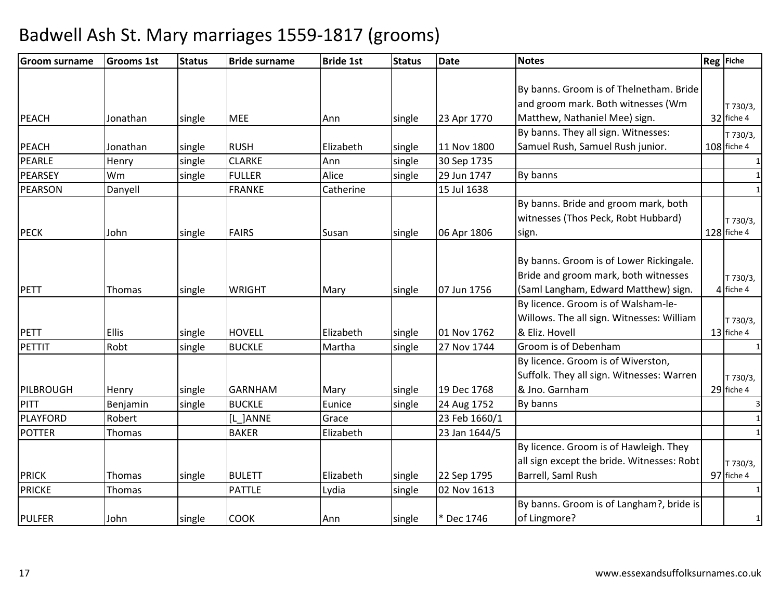| Groom surname   | <b>Grooms 1st</b> | <b>Status</b> | <b>Bride surname</b> | <b>Bride 1st</b> | <b>Status</b> | <b>Date</b>   | <b>Notes</b>                               | Reg Fiche    |
|-----------------|-------------------|---------------|----------------------|------------------|---------------|---------------|--------------------------------------------|--------------|
|                 |                   |               |                      |                  |               |               |                                            |              |
|                 |                   |               |                      |                  |               |               | By banns. Groom is of Thelnetham. Bride    |              |
|                 |                   |               |                      |                  |               |               | and groom mark. Both witnesses (Wm         | T 730/3,     |
| PEACH           | Jonathan          | single        | <b>MEE</b>           | Ann              | single        | 23 Apr 1770   | Matthew, Nathaniel Mee) sign.              | 32 fiche 4   |
|                 |                   |               |                      |                  |               |               | By banns. They all sign. Witnesses:        | T 730/3,     |
| <b>PEACH</b>    | Jonathan          | single        | <b>RUSH</b>          | Elizabeth        | single        | 11 Nov 1800   | Samuel Rush, Samuel Rush junior.           | 108 fiche 4  |
| PEARLE          | Henry             | single        | <b>CLARKE</b>        | Ann              | single        | 30 Sep 1735   |                                            |              |
| PEARSEY         | Wm                | single        | <b>FULLER</b>        | Alice            | single        | 29 Jun 1747   | By banns                                   |              |
| PEARSON         | Danyell           |               | <b>FRANKE</b>        | Catherine        |               | 15 Jul 1638   |                                            | $\mathbf{1}$ |
|                 |                   |               |                      |                  |               |               | By banns. Bride and groom mark, both       |              |
|                 |                   |               |                      |                  |               |               | witnesses (Thos Peck, Robt Hubbard)        | T 730/3,     |
| <b>PECK</b>     | John              | single        | <b>FAIRS</b>         | Susan            | single        | 06 Apr 1806   | sign.                                      | 128 fiche 4  |
|                 |                   |               |                      |                  |               |               |                                            |              |
|                 |                   |               |                      |                  |               |               | By banns. Groom is of Lower Rickingale.    |              |
|                 |                   |               |                      |                  |               |               | Bride and groom mark, both witnesses       | T 730/3,     |
| PETT            | Thomas            | single        | <b>WRIGHT</b>        | Mary             | single        | 07 Jun 1756   | (Saml Langham, Edward Matthew) sign.       | 4 fiche 4    |
|                 |                   |               |                      |                  |               |               | By licence. Groom is of Walsham-le-        |              |
|                 |                   |               |                      |                  |               |               | Willows. The all sign. Witnesses: William  | T 730/3,     |
| <b>PETT</b>     | <b>Ellis</b>      | single        | <b>HOVELL</b>        | Elizabeth        | single        | 01 Nov 1762   | & Eliz. Hovell                             | 13 fiche 4   |
| PETTIT          | Robt              | single        | <b>BUCKLE</b>        | Martha           | single        | 27 Nov 1744   | Groom is of Debenham                       |              |
|                 |                   |               |                      |                  |               |               | By licence. Groom is of Wiverston,         |              |
|                 |                   |               |                      |                  |               |               | Suffolk. They all sign. Witnesses: Warren  | T 730/3,     |
| PILBROUGH       | Henry             | single        | <b>GARNHAM</b>       | Mary             | single        | 19 Dec 1768   | & Jno. Garnham                             | 29 fiche 4   |
| <b>PITT</b>     | Benjamin          | single        | <b>BUCKLE</b>        | Eunice           | single        | 24 Aug 1752   | By banns                                   | 3            |
| <b>PLAYFORD</b> | Robert            |               | [L_]ANNE             | Grace            |               | 23 Feb 1660/1 |                                            | $\mathbf{1}$ |
| <b>POTTER</b>   | Thomas            |               | <b>BAKER</b>         | Elizabeth        |               | 23 Jan 1644/5 |                                            | $\mathbf{1}$ |
|                 |                   |               |                      |                  |               |               | By licence. Groom is of Hawleigh. They     |              |
|                 |                   |               |                      |                  |               |               | all sign except the bride. Witnesses: Robt | T 730/3,     |
| <b>PRICK</b>    | Thomas            | single        | <b>BULETT</b>        | Elizabeth        | single        | 22 Sep 1795   | Barrell, Saml Rush                         | 97 fiche 4   |
| <b>PRICKE</b>   | Thomas            |               | <b>PATTLE</b>        | Lydia            | single        | 02 Nov 1613   |                                            | $\mathbf{1}$ |
|                 |                   |               |                      |                  |               |               | By banns. Groom is of Langham?, bride is   |              |
| <b>PULFER</b>   | John              | single        | <b>COOK</b>          | Ann              | single        | * Dec 1746    | of Lingmore?                               | 1            |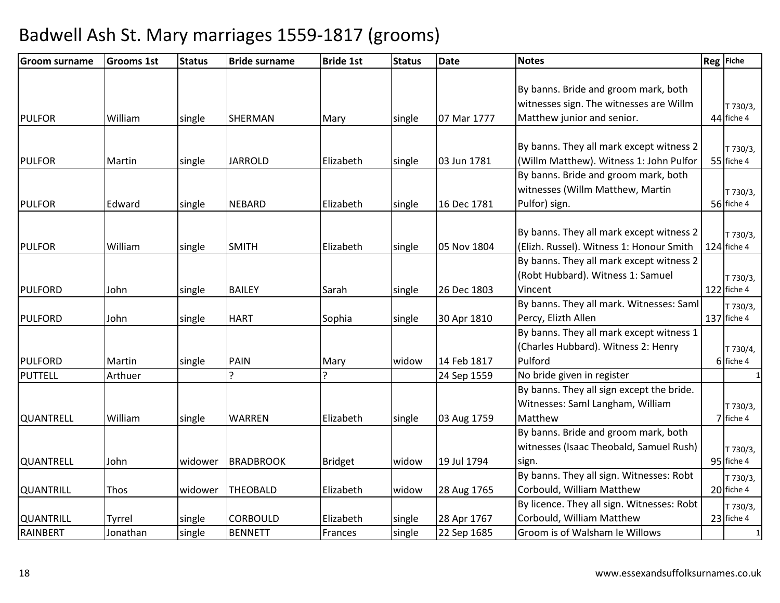| <b>Groom surname</b> | <b>Grooms 1st</b> | <b>Status</b> | <b>Bride surname</b> | <b>Bride 1st</b> | <b>Status</b> | <b>Date</b> | <b>Notes</b>                                                                                                  | Reg Fiche               |
|----------------------|-------------------|---------------|----------------------|------------------|---------------|-------------|---------------------------------------------------------------------------------------------------------------|-------------------------|
| <b>PULFOR</b>        | William           | single        | <b>SHERMAN</b>       | Mary             | single        | 07 Mar 1777 | By banns. Bride and groom mark, both<br>witnesses sign. The witnesses are Willm<br>Matthew junior and senior. | T 730/3,<br>44 fiche 4  |
|                      |                   |               |                      |                  |               |             |                                                                                                               |                         |
| <b>PULFOR</b>        | Martin            | single        | <b>JARROLD</b>       | Elizabeth        | single        | 03 Jun 1781 | By banns. They all mark except witness 2<br>(Willm Matthew). Witness 1: John Pulfor                           | T 730/3,<br>55 fiche 4  |
| <b>PULFOR</b>        | Edward            | single        | <b>NEBARD</b>        | Elizabeth        | single        | 16 Dec 1781 | By banns. Bride and groom mark, both<br>witnesses (Willm Matthew, Martin<br>Pulfor) sign.                     | T 730/3,<br>56 fiche 4  |
| <b>PULFOR</b>        | William           | single        | <b>SMITH</b>         | Elizabeth        | single        | 05 Nov 1804 | By banns. They all mark except witness 2<br>(Elizh. Russel). Witness 1: Honour Smith                          | T 730/3,<br>124 fiche 4 |
| <b>PULFORD</b>       | John              | single        | <b>BAILEY</b>        | Sarah            | single        | 26 Dec 1803 | By banns. They all mark except witness 2<br>(Robt Hubbard). Witness 1: Samuel<br>Vincent                      | T 730/3,<br>122 fiche 4 |
| <b>PULFORD</b>       | John              | single        | <b>HART</b>          | Sophia           | single        | 30 Apr 1810 | By banns. They all mark. Witnesses: Saml<br>Percy, Elizth Allen                                               | T 730/3,<br>137 fiche 4 |
| <b>PULFORD</b>       | Martin            | single        | PAIN                 | Mary             | widow         | 14 Feb 1817 | By banns. They all mark except witness 1<br>(Charles Hubbard). Witness 2: Henry<br>Pulford                    | T 730/4,<br>6 fiche 4   |
| <b>PUTTELL</b>       | Arthuer           |               |                      | ς                |               | 24 Sep 1559 | No bride given in register                                                                                    | $\mathbf{1}$            |
| <b>QUANTRELL</b>     | William           | single        | <b>WARREN</b>        | Elizabeth        | single        | 03 Aug 1759 | By banns. They all sign except the bride.<br>Witnesses: Saml Langham, William<br>Matthew                      | T 730/3,<br>7 fiche 4   |
| <b>QUANTRELL</b>     | John              | widower       | <b>BRADBROOK</b>     | <b>Bridget</b>   | widow         | 19 Jul 1794 | By banns. Bride and groom mark, both<br>witnesses (Isaac Theobald, Samuel Rush)<br>sign.                      | T 730/3,<br>95 fiche 4  |
| <b>QUANTRILL</b>     | Thos              | widower       | <b>THEOBALD</b>      | Elizabeth        | widow         | 28 Aug 1765 | By banns. They all sign. Witnesses: Robt<br>Corbould, William Matthew                                         | T 730/3,<br>20 fiche 4  |
| <b>QUANTRILL</b>     | Tyrrel            | single        | <b>CORBOULD</b>      | Elizabeth        | single        | 28 Apr 1767 | By licence. They all sign. Witnesses: Robt<br>Corbould, William Matthew                                       | T 730/3,<br>23 fiche 4  |
| RAINBERT             | Jonathan          | single        | <b>BENNETT</b>       | Frances          | single        | 22 Sep 1685 | Groom is of Walsham le Willows                                                                                | $\mathbf{1}$            |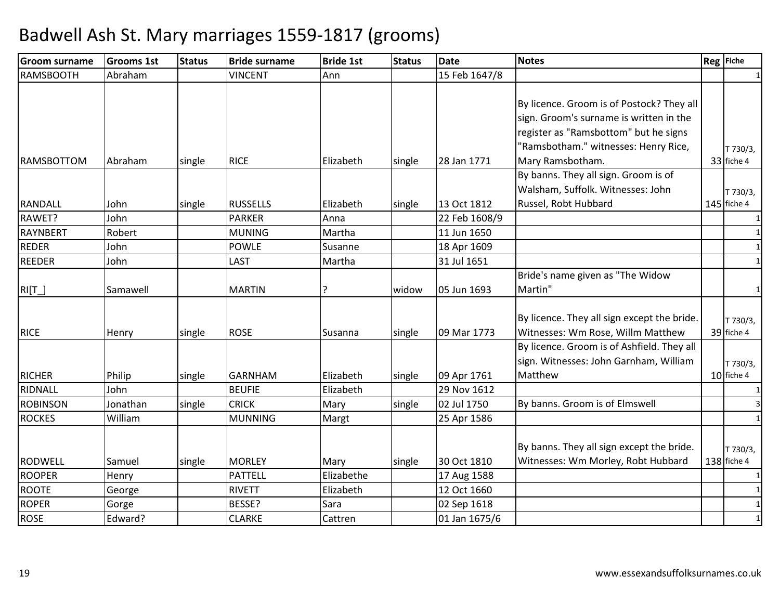| <b>Groom surname</b>          | <b>Grooms 1st</b> | <b>Status</b> | <b>Bride surname</b>            | <b>Bride 1st</b>        | <b>Status</b> | Date                       | <b>Notes</b>                                                                                                                                                                              | Reg Fiche                 |
|-------------------------------|-------------------|---------------|---------------------------------|-------------------------|---------------|----------------------------|-------------------------------------------------------------------------------------------------------------------------------------------------------------------------------------------|---------------------------|
| <b>RAMSBOOTH</b>              | Abraham           |               | <b>VINCENT</b>                  | Ann                     |               | 15 Feb 1647/8              |                                                                                                                                                                                           |                           |
|                               |                   |               |                                 |                         |               |                            | By licence. Groom is of Postock? They all<br>sign. Groom's surname is written in the<br>register as "Ramsbottom" but he signs<br>"Ramsbotham." witnesses: Henry Rice,<br>Mary Ramsbotham. | T 730/3,                  |
| <b>RAMSBOTTOM</b>             | Abraham           | single        | <b>RICE</b>                     | Elizabeth               | single        | 28 Jan 1771                | By banns. They all sign. Groom is of                                                                                                                                                      | 33 fiche 4                |
| <b>RANDALL</b>                | John              | single        | <b>RUSSELLS</b>                 | Elizabeth               | single        | 13 Oct 1812                | Walsham, Suffolk. Witnesses: John<br>Russel, Robt Hubbard                                                                                                                                 | T 730/3,<br>$145$ fiche 4 |
| RAWET?                        | John              |               | <b>PARKER</b>                   | Anna                    |               | 22 Feb 1608/9              |                                                                                                                                                                                           |                           |
| RAYNBERT                      | Robert            |               | <b>MUNING</b>                   | Martha                  |               | 11 Jun 1650                |                                                                                                                                                                                           | 1                         |
| <b>REDER</b>                  | John              |               | <b>POWLE</b>                    | Susanne                 |               | 18 Apr 1609                |                                                                                                                                                                                           | $\mathbf{1}$              |
| <b>REEDER</b>                 | John              |               | LAST                            | Martha                  |               | 31 Jul 1651                |                                                                                                                                                                                           |                           |
| $RI[\underline{T}]$           | Samawell          |               | <b>MARTIN</b>                   |                         | widow         | 05 Jun 1693                | Bride's name given as "The Widow<br>Martin"                                                                                                                                               | 1                         |
| <b>RICE</b>                   | Henry             | single        | <b>ROSE</b>                     | Susanna                 | single        | 09 Mar 1773                | By licence. They all sign except the bride.<br>Witnesses: Wm Rose, Willm Matthew                                                                                                          | T 730/3,<br>39 fiche 4    |
| <b>RICHER</b>                 | Philip            | single        | <b>GARNHAM</b>                  | Elizabeth               | single        | 09 Apr 1761                | By licence. Groom is of Ashfield. They all<br>sign. Witnesses: John Garnham, William<br>Matthew                                                                                           | T 730/3,<br>10 fiche 4    |
| RIDNALL                       | John              |               | <b>BEUFIE</b>                   | Elizabeth               |               | 29 Nov 1612                |                                                                                                                                                                                           |                           |
| <b>ROBINSON</b>               | Jonathan          | single        | <b>CRICK</b>                    | Mary                    | single        | 02 Jul 1750                | By banns. Groom is of Elmswell                                                                                                                                                            |                           |
| <b>ROCKES</b>                 | William           |               | <b>MUNNING</b>                  | Margt                   |               | 25 Apr 1586                |                                                                                                                                                                                           |                           |
|                               |                   |               |                                 |                         |               |                            | By banns. They all sign except the bride.                                                                                                                                                 | T 730/3,                  |
| <b>RODWELL</b>                | Samuel            | single        | <b>MORLEY</b>                   | Mary                    | single        | 30 Oct 1810                | Witnesses: Wm Morley, Robt Hubbard                                                                                                                                                        | $138$ fiche 4             |
| <b>ROOPER</b><br><b>ROOTE</b> | Henry             |               | <b>PATTELL</b><br><b>RIVETT</b> | Elizabethe<br>Elizabeth |               | 17 Aug 1588<br>12 Oct 1660 |                                                                                                                                                                                           | 1<br>$\mathbf{1}$         |
| <b>ROPER</b>                  | George            |               | BESSE?                          |                         |               | 02 Sep 1618                |                                                                                                                                                                                           |                           |
|                               | Gorge             |               |                                 | Sara                    |               |                            |                                                                                                                                                                                           |                           |
| <b>ROSE</b>                   | Edward?           |               | <b>CLARKE</b>                   | Cattren                 |               | 01 Jan 1675/6              |                                                                                                                                                                                           | $\mathbf{1}$              |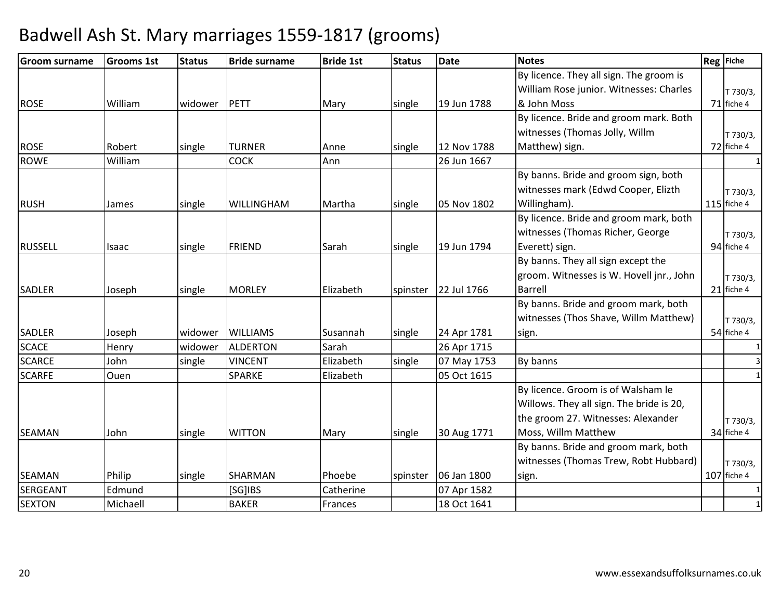| <b>Groom surname</b> | <b>Grooms 1st</b> | <b>Status</b> | <b>Bride surname</b> | <b>Bride 1st</b> | <b>Status</b> | <b>Date</b> | <b>Notes</b>                             | Reg Fiche    |
|----------------------|-------------------|---------------|----------------------|------------------|---------------|-------------|------------------------------------------|--------------|
|                      |                   |               |                      |                  |               |             | By licence. They all sign. The groom is  |              |
|                      |                   |               |                      |                  |               |             | William Rose junior. Witnesses: Charles  | T 730/3,     |
| <b>ROSE</b>          | William           | widower       | PETT                 | Mary             | single        | 19 Jun 1788 | & John Moss                              | 71 fiche 4   |
|                      |                   |               |                      |                  |               |             | By licence. Bride and groom mark. Both   |              |
|                      |                   |               |                      |                  |               |             | witnesses (Thomas Jolly, Willm           | T 730/3,     |
| <b>ROSE</b>          | Robert            | single        | <b>TURNER</b>        | Anne             | single        | 12 Nov 1788 | Matthew) sign.                           | 72 fiche 4   |
| <b>ROWE</b>          | William           |               | <b>COCK</b>          | Ann              |               | 26 Jun 1667 |                                          | $\mathbf{1}$ |
|                      |                   |               |                      |                  |               |             | By banns. Bride and groom sign, both     |              |
|                      |                   |               |                      |                  |               |             | witnesses mark (Edwd Cooper, Elizth      | T 730/3,     |
| <b>RUSH</b>          | James             | single        | WILLINGHAM           | Martha           | single        | 05 Nov 1802 | Willingham).                             | 115 fiche 4  |
|                      |                   |               |                      |                  |               |             | By licence. Bride and groom mark, both   |              |
|                      |                   |               |                      |                  |               |             | witnesses (Thomas Richer, George         | T 730/3,     |
| <b>RUSSELL</b>       | Isaac             | single        | <b>FRIEND</b>        | Sarah            | single        | 19 Jun 1794 | Everett) sign.                           | 94 fiche 4   |
|                      |                   |               |                      |                  |               |             | By banns. They all sign except the       |              |
|                      |                   |               |                      |                  |               |             | groom. Witnesses is W. Hovell jnr., John | T 730/3,     |
| <b>SADLER</b>        | Joseph            | single        | <b>MORLEY</b>        | Elizabeth        | spinster      | 22 Jul 1766 | <b>Barrell</b>                           | 21 fiche 4   |
|                      |                   |               |                      |                  |               |             | By banns. Bride and groom mark, both     |              |
|                      |                   |               |                      |                  |               |             | witnesses (Thos Shave, Willm Matthew)    | T 730/3,     |
| <b>SADLER</b>        | Joseph            | widower       | <b>WILLIAMS</b>      | Susannah         | single        | 24 Apr 1781 | sign.                                    | 54 fiche 4   |
| <b>SCACE</b>         | Henry             | widower       | <b>ALDERTON</b>      | Sarah            |               | 26 Apr 1715 |                                          | 1            |
| <b>SCARCE</b>        | John              | single        | <b>VINCENT</b>       | Elizabeth        | single        | 07 May 1753 | By banns                                 | 3            |
| <b>SCARFE</b>        | Ouen              |               | <b>SPARKE</b>        | Elizabeth        |               | 05 Oct 1615 |                                          | $\mathbf{1}$ |
|                      |                   |               |                      |                  |               |             | By licence. Groom is of Walsham le       |              |
|                      |                   |               |                      |                  |               |             | Willows. They all sign. The bride is 20, |              |
|                      |                   |               |                      |                  |               |             | the groom 27. Witnesses: Alexander       | T 730/3,     |
| <b>SEAMAN</b>        | John              | single        | <b>WITTON</b>        | Mary             | single        | 30 Aug 1771 | Moss, Willm Matthew                      | 34 fiche 4   |
|                      |                   |               |                      |                  |               |             | By banns. Bride and groom mark, both     |              |
|                      |                   |               |                      |                  |               |             | witnesses (Thomas Trew, Robt Hubbard)    | T 730/3,     |
| <b>SEAMAN</b>        | Philip            | single        | SHARMAN              | Phoebe           | spinster      | 06 Jan 1800 | sign.                                    | 107 fiche 4  |
| <b>SERGEANT</b>      | Edmund            |               | [SG]IBS              | Catherine        |               | 07 Apr 1582 |                                          |              |
| <b>SEXTON</b>        | Michaell          |               | <b>BAKER</b>         | Frances          |               | 18 Oct 1641 |                                          | $\mathbf{1}$ |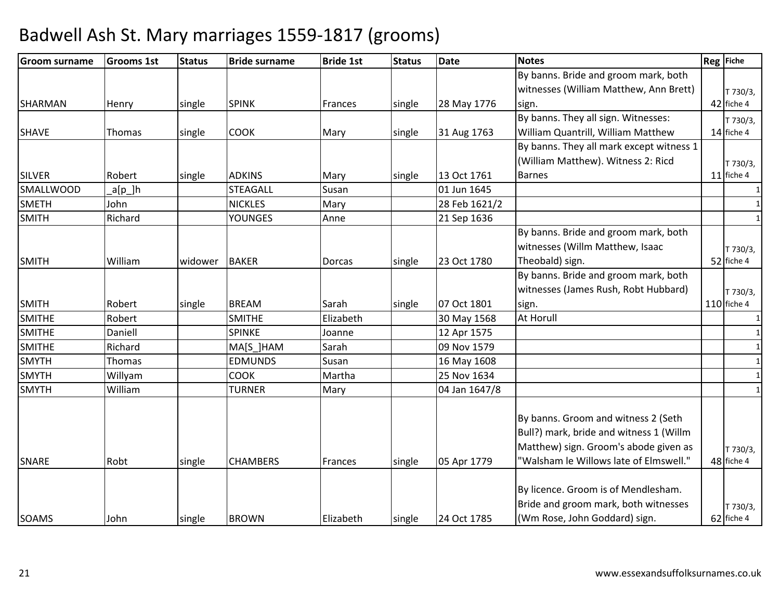| <b>Groom surname</b> | <b>Grooms 1st</b> | <b>Status</b> | <b>Bride surname</b> | <b>Bride 1st</b> | <b>Status</b> | <b>Date</b>   | <b>Notes</b>                             | Reg Fiche    |
|----------------------|-------------------|---------------|----------------------|------------------|---------------|---------------|------------------------------------------|--------------|
|                      |                   |               |                      |                  |               |               | By banns. Bride and groom mark, both     |              |
|                      |                   |               |                      |                  |               |               | witnesses (William Matthew, Ann Brett)   | T 730/3,     |
| <b>SHARMAN</b>       | Henry             | single        | <b>SPINK</b>         | Frances          | single        | 28 May 1776   | sign.                                    | 42 fiche 4   |
|                      |                   |               |                      |                  |               |               | By banns. They all sign. Witnesses:      | T 730/3,     |
| <b>SHAVE</b>         | <b>Thomas</b>     | single        | <b>COOK</b>          | Mary             | single        | 31 Aug 1763   | William Quantrill, William Matthew       | 14 fiche 4   |
|                      |                   |               |                      |                  |               |               | By banns. They all mark except witness 1 |              |
|                      |                   |               |                      |                  |               |               | (William Matthew). Witness 2: Ricd       | T 730/3,     |
| <b>SILVER</b>        | Robert            | single        | <b>ADKINS</b>        | Mary             | single        | 13 Oct 1761   | <b>Barnes</b>                            | 11 fiche 4   |
| <b>SMALLWOOD</b>     | a[p_]h            |               | <b>STEAGALL</b>      | Susan            |               | 01 Jun 1645   |                                          |              |
| <b>SMETH</b>         | John              |               | <b>NICKLES</b>       | Mary             |               | 28 Feb 1621/2 |                                          |              |
| <b>SMITH</b>         | Richard           |               | <b>YOUNGES</b>       | Anne             |               | 21 Sep 1636   |                                          |              |
|                      |                   |               |                      |                  |               |               | By banns. Bride and groom mark, both     |              |
|                      |                   |               |                      |                  |               |               | witnesses (Willm Matthew, Isaac          | T 730/3,     |
| <b>SMITH</b>         | William           | widower       | <b>BAKER</b>         | <b>Dorcas</b>    | single        | 23 Oct 1780   | Theobald) sign.                          | 52 fiche 4   |
|                      |                   |               |                      |                  |               |               | By banns. Bride and groom mark, both     |              |
|                      |                   |               |                      |                  |               |               | witnesses (James Rush, Robt Hubbard)     | T 730/3,     |
| <b>SMITH</b>         | Robert            | single        | <b>BREAM</b>         | Sarah            | single        | 07 Oct 1801   | sign.                                    | 110 fiche 4  |
| <b>SMITHE</b>        | Robert            |               | <b>SMITHE</b>        | Elizabeth        |               | 30 May 1568   | At Horull                                |              |
| <b>SMITHE</b>        | Daniell           |               | <b>SPINKE</b>        | Joanne           |               | 12 Apr 1575   |                                          | $\mathbf{1}$ |
| <b>SMITHE</b>        | Richard           |               | MA[S ]HAM            | Sarah            |               | 09 Nov 1579   |                                          | $\mathbf{1}$ |
| <b>SMYTH</b>         | <b>Thomas</b>     |               | <b>EDMUNDS</b>       | Susan            |               | 16 May 1608   |                                          | $\mathbf{1}$ |
| <b>SMYTH</b>         | Willyam           |               | <b>COOK</b>          | Martha           |               | 25 Nov 1634   |                                          | $\mathbf{1}$ |
| <b>SMYTH</b>         | William           |               | <b>TURNER</b>        | Mary             |               | 04 Jan 1647/8 |                                          |              |
|                      |                   |               |                      |                  |               |               |                                          |              |
|                      |                   |               |                      |                  |               |               | By banns. Groom and witness 2 (Seth      |              |
|                      |                   |               |                      |                  |               |               | Bull?) mark, bride and witness 1 (Willm  |              |
|                      |                   |               |                      |                  |               |               | Matthew) sign. Groom's abode given as    | T 730/3,     |
| <b>SNARE</b>         | Robt              | single        | <b>CHAMBERS</b>      | Frances          | single        | 05 Apr 1779   | "Walsham le Willows late of Elmswell."   | 48 fiche 4   |
|                      |                   |               |                      |                  |               |               |                                          |              |
|                      |                   |               |                      |                  |               |               | By licence. Groom is of Mendlesham.      |              |
|                      |                   |               |                      |                  |               |               | Bride and groom mark, both witnesses     | T 730/3,     |
| <b>SOAMS</b>         | John              | single        | <b>BROWN</b>         | Elizabeth        | single        | 24 Oct 1785   | (Wm Rose, John Goddard) sign.            | 62 fiche 4   |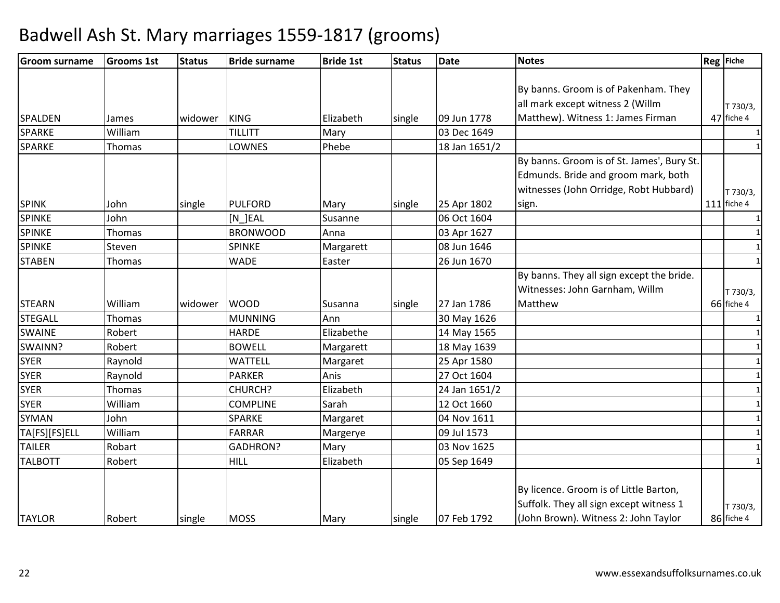| <b>Groom surname</b> | <b>Grooms 1st</b> | <b>Status</b> | <b>Bride surname</b> | <b>Bride 1st</b> | <b>Status</b> | <b>Date</b>   | <b>Notes</b>                               | Reg Fiche     |
|----------------------|-------------------|---------------|----------------------|------------------|---------------|---------------|--------------------------------------------|---------------|
|                      |                   |               |                      |                  |               |               |                                            |               |
|                      |                   |               |                      |                  |               |               | By banns. Groom is of Pakenham. They       |               |
|                      |                   |               |                      |                  |               |               | all mark except witness 2 (Willm           | T 730/3,      |
| <b>SPALDEN</b>       | James             | widower       | <b>KING</b>          | Elizabeth        | single        | 09 Jun 1778   | Matthew). Witness 1: James Firman          | 47 fiche 4    |
| <b>SPARKE</b>        | William           |               | <b>TILLITT</b>       | Mary             |               | 03 Dec 1649   |                                            |               |
| <b>SPARKE</b>        | Thomas            |               | LOWNES               | Phebe            |               | 18 Jan 1651/2 |                                            |               |
|                      |                   |               |                      |                  |               |               | By banns. Groom is of St. James', Bury St. |               |
|                      |                   |               |                      |                  |               |               | Edmunds. Bride and groom mark, both        |               |
|                      |                   |               |                      |                  |               |               | witnesses (John Orridge, Robt Hubbard)     | T 730/3,      |
| <b>SPINK</b>         | John              | single        | <b>PULFORD</b>       | Mary             | single        | 25 Apr 1802   | sign.                                      | $111$ fiche 4 |
| <b>SPINKE</b>        | John              |               | [N_]EAL              | Susanne          |               | 06 Oct 1604   |                                            |               |
| <b>SPINKE</b>        | <b>Thomas</b>     |               | <b>BRONWOOD</b>      | Anna             |               | 03 Apr 1627   |                                            | 1             |
| <b>SPINKE</b>        | Steven            |               | <b>SPINKE</b>        | Margarett        |               | 08 Jun 1646   |                                            | $\mathbf{1}$  |
| <b>STABEN</b>        | Thomas            |               | <b>WADE</b>          | Easter           |               | 26 Jun 1670   |                                            |               |
|                      |                   |               |                      |                  |               |               | By banns. They all sign except the bride.  |               |
|                      |                   |               |                      |                  |               |               | Witnesses: John Garnham, Willm             | T 730/3,      |
| <b>STEARN</b>        | William           | widower       | <b>WOOD</b>          | Susanna          | single        | 27 Jan 1786   | Matthew                                    | 66 fiche 4    |
| <b>STEGALL</b>       | Thomas            |               | <b>MUNNING</b>       | Ann              |               | 30 May 1626   |                                            | 1             |
| <b>SWAINE</b>        | Robert            |               | <b>HARDE</b>         | Elizabethe       |               | 14 May 1565   |                                            | $\mathbf{1}$  |
| SWAINN?              | Robert            |               | <b>BOWELL</b>        | Margarett        |               | 18 May 1639   |                                            | $\mathbf{1}$  |
| <b>SYER</b>          | Raynold           |               | <b>WATTELL</b>       | Margaret         |               | 25 Apr 1580   |                                            | $\mathbf{1}$  |
| <b>SYER</b>          | Raynold           |               | <b>PARKER</b>        | Anis             |               | 27 Oct 1604   |                                            | $\mathbf{1}$  |
| <b>SYER</b>          | Thomas            |               | CHURCH?              | Elizabeth        |               | 24 Jan 1651/2 |                                            | 1             |
| <b>SYER</b>          | William           |               | <b>COMPLINE</b>      | Sarah            |               | 12 Oct 1660   |                                            | $\mathbf{1}$  |
| <b>SYMAN</b>         | John              |               | SPARKE               | Margaret         |               | 04 Nov 1611   |                                            | 1             |
| TA[FS][FS]ELL        | William           |               | <b>FARRAR</b>        | Margerye         |               | 09 Jul 1573   |                                            |               |
| <b>TAILER</b>        | Robart            |               | GADHRON?             | Mary             |               | 03 Nov 1625   |                                            |               |
| <b>TALBOTT</b>       | Robert            |               | <b>HILL</b>          | Elizabeth        |               | 05 Sep 1649   |                                            |               |
|                      |                   |               |                      |                  |               |               |                                            |               |
|                      |                   |               |                      |                  |               |               | By licence. Groom is of Little Barton,     |               |
|                      |                   |               |                      |                  |               |               | Suffolk. They all sign except witness 1    | T 730/3,      |
| <b>TAYLOR</b>        | Robert            | single        | <b>MOSS</b>          | Mary             | single        | 07 Feb 1792   | (John Brown). Witness 2: John Taylor       | 86 fiche 4    |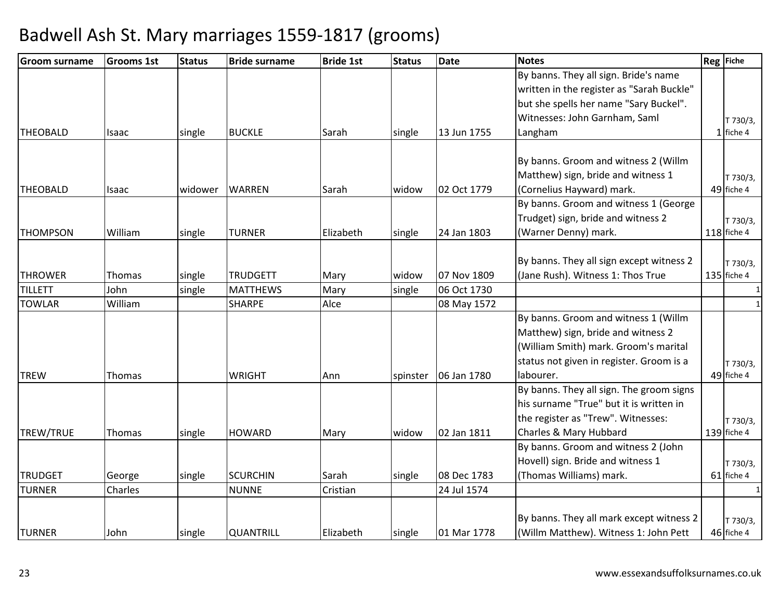| <b>Groom surname</b> | <b>Grooms 1st</b> | <b>Status</b> | <b>Bride surname</b> | <b>Bride 1st</b> | <b>Status</b> | <b>Date</b> | <b>Notes</b>                              | Reg Fiche    |
|----------------------|-------------------|---------------|----------------------|------------------|---------------|-------------|-------------------------------------------|--------------|
|                      |                   |               |                      |                  |               |             | By banns. They all sign. Bride's name     |              |
|                      |                   |               |                      |                  |               |             | written in the register as "Sarah Buckle" |              |
|                      |                   |               |                      |                  |               |             | but she spells her name "Sary Buckel".    |              |
|                      |                   |               |                      |                  |               |             | Witnesses: John Garnham, Saml             | T 730/3,     |
| <b>THEOBALD</b>      | <b>Isaac</b>      | single        | <b>BUCKLE</b>        | Sarah            | single        | 13 Jun 1755 | Langham                                   | $1$ fiche 4  |
|                      |                   |               |                      |                  |               |             |                                           |              |
|                      |                   |               |                      |                  |               |             | By banns. Groom and witness 2 (Willm      |              |
|                      |                   |               |                      |                  |               |             | Matthew) sign, bride and witness 1        | T 730/3,     |
| <b>THEOBALD</b>      | <b>Isaac</b>      | widower       | WARREN               | Sarah            | widow         | 02 Oct 1779 | (Cornelius Hayward) mark.                 | 49 fiche 4   |
|                      |                   |               |                      |                  |               |             | By banns. Groom and witness 1 (George     |              |
|                      |                   |               |                      |                  |               |             | Trudget) sign, bride and witness 2        | T 730/3,     |
| <b>THOMPSON</b>      | William           | single        | <b>TURNER</b>        | Elizabeth        | single        | 24 Jan 1803 | (Warner Denny) mark.                      | 118 fiche 4  |
|                      |                   |               |                      |                  |               |             |                                           |              |
|                      |                   |               |                      |                  |               |             | By banns. They all sign except witness 2  | T 730/3,     |
| <b>THROWER</b>       | Thomas            | single        | <b>TRUDGETT</b>      | Mary             | widow         | 07 Nov 1809 | (Jane Rush). Witness 1: Thos True         | 135 fiche 4  |
| <b>TILLETT</b>       | John              | single        | <b>MATTHEWS</b>      | Mary             | single        | 06 Oct 1730 |                                           |              |
| <b>TOWLAR</b>        | William           |               | <b>SHARPE</b>        | Alce             |               | 08 May 1572 |                                           | $\mathbf{1}$ |
|                      |                   |               |                      |                  |               |             | By banns. Groom and witness 1 (Willm      |              |
|                      |                   |               |                      |                  |               |             | Matthew) sign, bride and witness 2        |              |
|                      |                   |               |                      |                  |               |             | (William Smith) mark. Groom's marital     |              |
|                      |                   |               |                      |                  |               |             | status not given in register. Groom is a  | T 730/3,     |
| <b>TREW</b>          | Thomas            |               | <b>WRIGHT</b>        | Ann              | spinster      | 06 Jan 1780 | labourer.                                 | 49 fiche 4   |
|                      |                   |               |                      |                  |               |             | By banns. They all sign. The groom signs  |              |
|                      |                   |               |                      |                  |               |             | his surname "True" but it is written in   |              |
|                      |                   |               |                      |                  |               |             | the register as "Trew". Witnesses:        | T 730/3,     |
| TREW/TRUE            | Thomas            | single        | <b>HOWARD</b>        | Mary             | widow         | 02 Jan 1811 | Charles & Mary Hubbard                    | 139 fiche 4  |
|                      |                   |               |                      |                  |               |             | By banns. Groom and witness 2 (John       |              |
|                      |                   |               |                      |                  |               |             | Hovell) sign. Bride and witness 1         | T 730/3,     |
| <b>TRUDGET</b>       | George            | single        | <b>SCURCHIN</b>      | Sarah            | single        | 08 Dec 1783 | (Thomas Williams) mark.                   | 61 fiche 4   |
| <b>TURNER</b>        | Charles           |               | <b>NUNNE</b>         | Cristian         |               | 24 Jul 1574 |                                           |              |
|                      |                   |               |                      |                  |               |             |                                           |              |
|                      |                   |               |                      |                  |               |             | By banns. They all mark except witness 2  | T 730/3,     |
| <b>TURNER</b>        | John              | single        | <b>QUANTRILL</b>     | Elizabeth        | single        | 01 Mar 1778 | (Willm Matthew). Witness 1: John Pett     | 46 fiche 4   |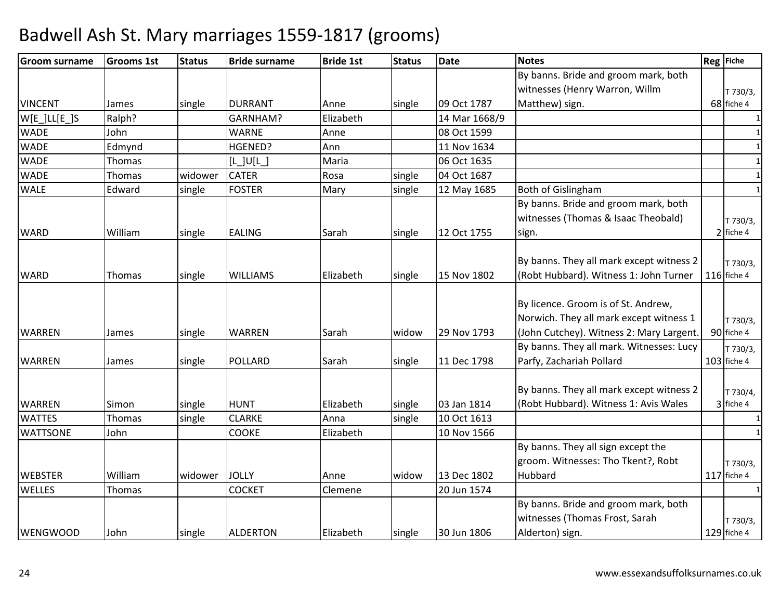| <b>Groom surname</b> | <b>Grooms 1st</b> | <b>Status</b> | <b>Bride surname</b> | <b>Bride 1st</b> | <b>Status</b> | <b>Date</b>   | <b>Notes</b>                                                                                                               | Reg Fiche                 |
|----------------------|-------------------|---------------|----------------------|------------------|---------------|---------------|----------------------------------------------------------------------------------------------------------------------------|---------------------------|
|                      |                   |               |                      |                  |               |               | By banns. Bride and groom mark, both                                                                                       |                           |
|                      |                   |               |                      |                  |               |               | witnesses (Henry Warron, Willm                                                                                             | T 730/3,                  |
| <b>VINCENT</b>       | James             | single        | <b>DURRANT</b>       | Anne             | single        | 09 Oct 1787   | Matthew) sign.                                                                                                             | 68 fiche 4                |
| $W[E_lLL[E_l]S$      | Ralph?            |               | GARNHAM?             | Elizabeth        |               | 14 Mar 1668/9 |                                                                                                                            | 1                         |
| <b>WADE</b>          | John              |               | <b>WARNE</b>         | Anne             |               | 08 Oct 1599   |                                                                                                                            | $\mathbf{1}$              |
| <b>WADE</b>          | Edmynd            |               | HGENED?              | Ann              |               | 11 Nov 1634   |                                                                                                                            | $\mathbf{1}$              |
| <b>WADE</b>          | Thomas            |               | $[L$ ] $U[L]$        | Maria            |               | 06 Oct 1635   |                                                                                                                            | 1                         |
| <b>WADE</b>          | Thomas            | widower       | <b>CATER</b>         | Rosa             | single        | 04 Oct 1687   |                                                                                                                            | $\mathbf{1}$              |
| <b>WALE</b>          | Edward            | single        | <b>FOSTER</b>        | Mary             | single        | 12 May 1685   | <b>Both of Gislingham</b>                                                                                                  | $\mathbf{1}$              |
| <b>WARD</b>          | William           | single        | <b>EALING</b>        | Sarah            | single        | 12 Oct 1755   | By banns. Bride and groom mark, both<br>witnesses (Thomas & Isaac Theobald)<br>sign.                                       | T 730/3,<br>2 fiche 4     |
| <b>WARD</b>          | Thomas            | single        | <b>WILLIAMS</b>      | Elizabeth        | single        | 15 Nov 1802   | By banns. They all mark except witness 2<br>(Robt Hubbard). Witness 1: John Turner                                         | T 730/3,<br>116 fiche 4   |
| <b>WARREN</b>        | James             | single        | WARREN               | Sarah            | widow         | 29 Nov 1793   | By licence. Groom is of St. Andrew,<br>Norwich. They all mark except witness 1<br>(John Cutchey). Witness 2: Mary Largent. | T 730/3,<br>90 fiche 4    |
| <b>WARREN</b>        | James             | single        | <b>POLLARD</b>       | Sarah            | single        | 11 Dec 1798   | By banns. They all mark. Witnesses: Lucy<br>Parfy, Zachariah Pollard                                                       | T 730/3,<br>103 fiche 4   |
| <b>WARREN</b>        | Simon             | single        | <b>HUNT</b>          | Elizabeth        | single        | 03 Jan 1814   | By banns. They all mark except witness 2<br>(Robt Hubbard). Witness 1: Avis Wales                                          | T 730/4,<br>3 fiche 4     |
| <b>WATTES</b>        | Thomas            | single        | <b>CLARKE</b>        | Anna             | single        | 10 Oct 1613   |                                                                                                                            | 1                         |
| <b>WATTSONE</b>      | John              |               | <b>COOKE</b>         | Elizabeth        |               | 10 Nov 1566   |                                                                                                                            | $\mathbf{1}$              |
| <b>WEBSTER</b>       | William           | widower       | <b>JOLLY</b>         | Anne             | widow         | 13 Dec 1802   | By banns. They all sign except the<br>groom. Witnesses: Tho Tkent?, Robt<br>Hubbard                                        | T 730/3,<br>$117$ fiche 4 |
| <b>WELLES</b>        | Thomas            |               | <b>COCKET</b>        | Clemene          |               | 20 Jun 1574   |                                                                                                                            | $\mathbf{1}$              |
| <b>WENGWOOD</b>      | John              | single        | <b>ALDERTON</b>      | Elizabeth        | single        | 30 Jun 1806   | By banns. Bride and groom mark, both<br>witnesses (Thomas Frost, Sarah<br>Alderton) sign.                                  | T 730/3,<br>129 fiche 4   |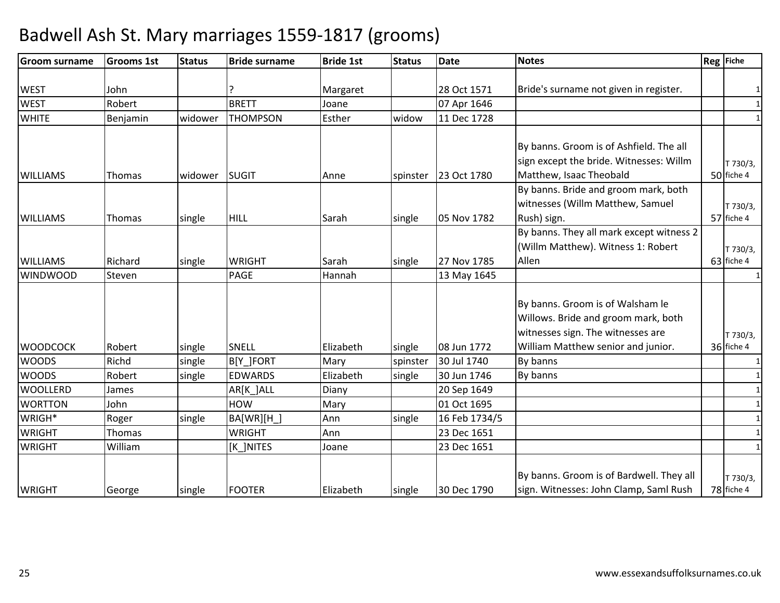| <b>Groom surname</b> | <b>Grooms 1st</b> | <b>Status</b> | <b>Bride surname</b> | <b>Bride 1st</b> | <b>Status</b> | <b>Date</b>   | <b>Notes</b>                             | Reg Fiche    |
|----------------------|-------------------|---------------|----------------------|------------------|---------------|---------------|------------------------------------------|--------------|
|                      |                   |               |                      |                  |               |               |                                          |              |
| <b>WEST</b>          | John              |               |                      | Margaret         |               | 28 Oct 1571   | Bride's surname not given in register.   |              |
| <b>WEST</b>          | Robert            |               | <b>BRETT</b>         | Joane            |               | 07 Apr 1646   |                                          | $\mathbf{1}$ |
| <b>WHITE</b>         | Benjamin          | widower       | <b>THOMPSON</b>      | Esther           | widow         | 11 Dec 1728   |                                          | $\mathbf{1}$ |
|                      |                   |               |                      |                  |               |               |                                          |              |
|                      |                   |               |                      |                  |               |               | By banns. Groom is of Ashfield. The all  |              |
|                      |                   |               |                      |                  |               |               | sign except the bride. Witnesses: Willm  | T 730/3,     |
| <b>WILLIAMS</b>      | <b>Thomas</b>     | widower       | SUGIT                | Anne             | spinster      | 23 Oct 1780   | Matthew, Isaac Theobald                  | 50 fiche 4   |
|                      |                   |               |                      |                  |               |               | By banns. Bride and groom mark, both     |              |
|                      |                   |               |                      |                  |               |               | witnesses (Willm Matthew, Samuel         | T 730/3,     |
| <b>WILLIAMS</b>      | Thomas            | single        | <b>HILL</b>          | Sarah            | single        | 05 Nov 1782   | Rush) sign.                              | 57 fiche 4   |
|                      |                   |               |                      |                  |               |               | By banns. They all mark except witness 2 |              |
|                      |                   |               |                      |                  |               |               | (Willm Matthew). Witness 1: Robert       | T 730/3,     |
| <b>WILLIAMS</b>      | Richard           | single        | <b>WRIGHT</b>        | Sarah            | single        | 27 Nov 1785   | Allen                                    | 63 fiche 4   |
| <b>WINDWOOD</b>      | Steven            |               | PAGE                 | Hannah           |               | 13 May 1645   |                                          | 1            |
|                      |                   |               |                      |                  |               |               |                                          |              |
|                      |                   |               |                      |                  |               |               | By banns. Groom is of Walsham le         |              |
|                      |                   |               |                      |                  |               |               | Willows. Bride and groom mark, both      |              |
|                      |                   |               |                      |                  |               |               | witnesses sign. The witnesses are        | T 730/3,     |
| <b>WOODCOCK</b>      | Robert            | single        | SNELL                | Elizabeth        | single        | 08 Jun 1772   | William Matthew senior and junior.       | 36 fiche 4   |
| <b>WOODS</b>         | Richd             | single        | B[Y_]FORT            | Mary             | spinster      | 30 Jul 1740   | By banns                                 | $\mathbf{1}$ |
| <b>WOODS</b>         | Robert            | single        | <b>EDWARDS</b>       | Elizabeth        | single        | 30 Jun 1746   | By banns                                 | $\mathbf{1}$ |
| <b>WOOLLERD</b>      | James             |               | AR[K_]ALL            | Diany            |               | 20 Sep 1649   |                                          | $\mathbf{1}$ |
| <b>WORTTON</b>       | John              |               | <b>HOW</b>           | Mary             |               | 01 Oct 1695   |                                          | $\mathbf{1}$ |
| WRIGH*               | Roger             | single        | BA[WR][H_]           | Ann              | single        | 16 Feb 1734/5 |                                          | 1            |
| <b>WRIGHT</b>        | Thomas            |               | <b>WRIGHT</b>        | Ann              |               | 23 Dec 1651   |                                          | 1            |
| <b>WRIGHT</b>        | William           |               | [K_]NITES            | Joane            |               | 23 Dec 1651   |                                          | $\mathbf{1}$ |
|                      |                   |               |                      |                  |               |               |                                          |              |
|                      |                   |               |                      |                  |               |               | By banns. Groom is of Bardwell. They all | T 730/3,     |
| <b>WRIGHT</b>        | George            | single        | <b>FOOTER</b>        | Elizabeth        | single        | 30 Dec 1790   | sign. Witnesses: John Clamp, Saml Rush   | 78 fiche 4   |